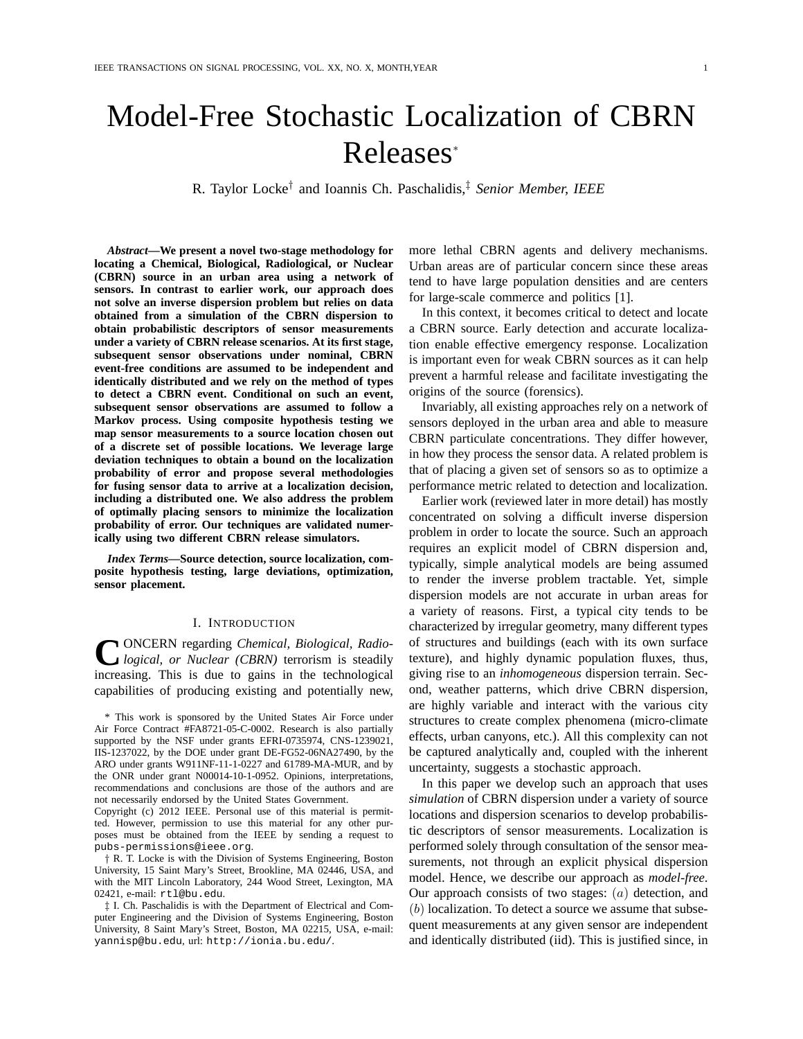# Model-Free Stochastic Localization of CBRN Releases<sup>∗</sup>

R. Taylor Locke† and Ioannis Ch. Paschalidis,‡ *Senior Member, IEEE*

*Abstract***—We present a novel two-stage methodology for locating a Chemical, Biological, Radiological, or Nuclear (CBRN) source in an urban area using a network of sensors. In contrast to earlier work, our approach does not solve an inverse dispersion problem but relies on data obtained from a simulation of the CBRN dispersion to obtain probabilistic descriptors of sensor measurements under a variety of CBRN release scenarios. At its first stage, subsequent sensor observations under nominal, CBRN event-free conditions are assumed to be independent and identically distributed and we rely on the method of types to detect a CBRN event. Conditional on such an event, subsequent sensor observations are assumed to follow a Markov process. Using composite hypothesis testing we map sensor measurements to a source location chosen out of a discrete set of possible locations. We leverage large deviation techniques to obtain a bound on the localization probability of error and propose several methodologies for fusing sensor data to arrive at a localization decision, including a distributed one. We also address the problem of optimally placing sensors to minimize the localization probability of error. Our techniques are validated numerically using two different CBRN release simulators.**

*Index Terms***—Source detection, source localization, composite hypothesis testing, large deviations, optimization, sensor placement.**

### I. INTRODUCTION

**C** ONCERN regarding Chemical, Biological, Radio-<br>logical, or Nuclear (CBRN) terrorism is steadily<br>increasing. This is due to gains in the technological ONCERN regarding *Chemical, Biological, Radiological, or Nuclear (CBRN)* terrorism is steadily capabilities of producing existing and potentially new,

\* This work is sponsored by the United States Air Force under Air Force Contract #FA8721-05-C-0002. Research is also partially supported by the NSF under grants EFRI-0735974, CNS-1239021, IIS-1237022, by the DOE under grant DE-FG52-06NA27490, by the ARO under grants W911NF-11-1-0227 and 61789-MA-MUR, and by the ONR under grant N00014-10-1-0952. Opinions, interpretations, recommendations and conclusions are those of the authors and are not necessarily endorsed by the United States Government.

Copyright (c) 2012 IEEE. Personal use of this material is permitted. However, permission to use this material for any other purposes must be obtained from the IEEE by sending a request to pubs-permissions@ieee.org.

† R. T. Locke is with the Division of Systems Engineering, Boston University, 15 Saint Mary's Street, Brookline, MA 02446, USA, and with the MIT Lincoln Laboratory, 244 Wood Street, Lexington, MA 02421, e-mail: rtl@bu.edu.

‡ I. Ch. Paschalidis is with the Department of Electrical and Computer Engineering and the Division of Systems Engineering, Boston University, 8 Saint Mary's Street, Boston, MA 02215, USA, e-mail: yannisp@bu.edu, url: http://ionia.bu.edu/.

more lethal CBRN agents and delivery mechanisms. Urban areas are of particular concern since these areas tend to have large population densities and are centers for large-scale commerce and politics [1].

In this context, it becomes critical to detect and locate a CBRN source. Early detection and accurate localization enable effective emergency response. Localization is important even for weak CBRN sources as it can help prevent a harmful release and facilitate investigating the origins of the source (forensics).

Invariably, all existing approaches rely on a network of sensors deployed in the urban area and able to measure CBRN particulate concentrations. They differ however, in how they process the sensor data. A related problem is that of placing a given set of sensors so as to optimize a performance metric related to detection and localization.

Earlier work (reviewed later in more detail) has mostly concentrated on solving a difficult inverse dispersion problem in order to locate the source. Such an approach requires an explicit model of CBRN dispersion and, typically, simple analytical models are being assumed to render the inverse problem tractable. Yet, simple dispersion models are not accurate in urban areas for a variety of reasons. First, a typical city tends to be characterized by irregular geometry, many different types of structures and buildings (each with its own surface texture), and highly dynamic population fluxes, thus, giving rise to an *inhomogeneous* dispersion terrain. Second, weather patterns, which drive CBRN dispersion, are highly variable and interact with the various city structures to create complex phenomena (micro-climate effects, urban canyons, etc.). All this complexity can not be captured analytically and, coupled with the inherent uncertainty, suggests a stochastic approach.

In this paper we develop such an approach that uses *simulation* of CBRN dispersion under a variety of source locations and dispersion scenarios to develop probabilistic descriptors of sensor measurements. Localization is performed solely through consultation of the sensor measurements, not through an explicit physical dispersion model. Hence, we describe our approach as *model-free*. Our approach consists of two stages:  $(a)$  detection, and  $(b)$  localization. To detect a source we assume that subsequent measurements at any given sensor are independent and identically distributed (iid). This is justified since, in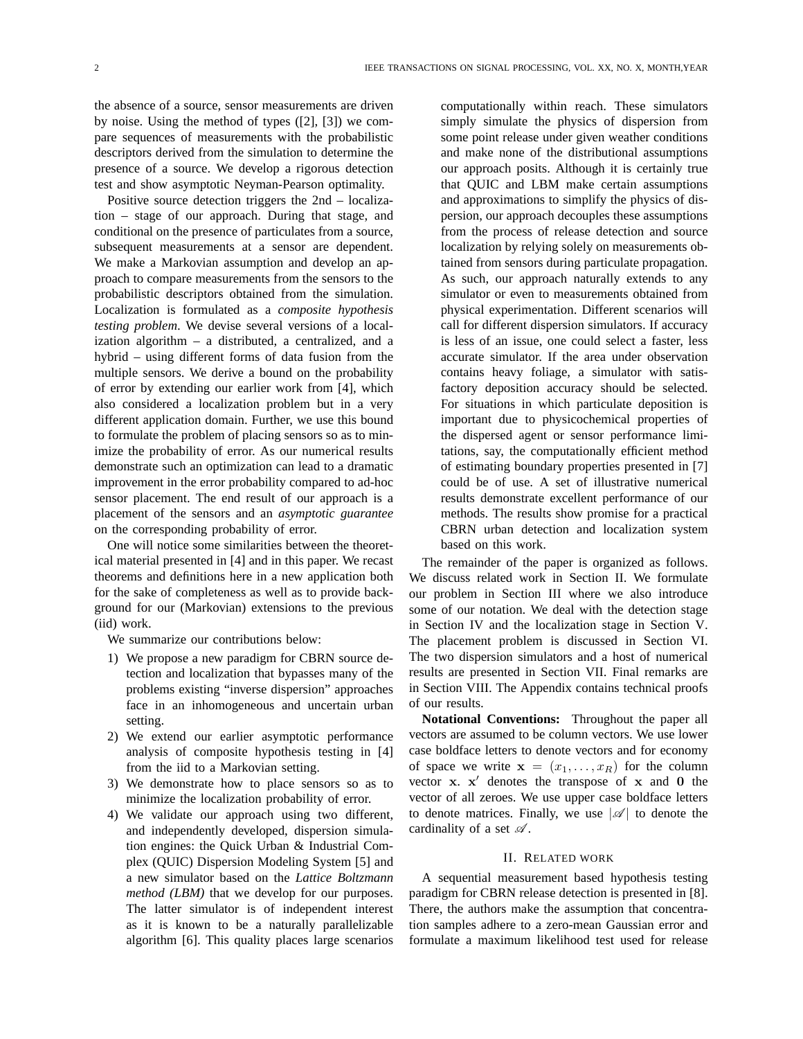the absence of a source, sensor measurements are driven by noise. Using the method of types ([2], [3]) we compare sequences of measurements with the probabilistic descriptors derived from the simulation to determine the presence of a source. We develop a rigorous detection test and show asymptotic Neyman-Pearson optimality.

Positive source detection triggers the 2nd – localization – stage of our approach. During that stage, and conditional on the presence of particulates from a source, subsequent measurements at a sensor are dependent. We make a Markovian assumption and develop an approach to compare measurements from the sensors to the probabilistic descriptors obtained from the simulation. Localization is formulated as a *composite hypothesis testing problem*. We devise several versions of a localization algorithm – a distributed, a centralized, and a hybrid – using different forms of data fusion from the multiple sensors. We derive a bound on the probability of error by extending our earlier work from [4], which also considered a localization problem but in a very different application domain. Further, we use this bound to formulate the problem of placing sensors so as to minimize the probability of error. As our numerical results demonstrate such an optimization can lead to a dramatic improvement in the error probability compared to ad-hoc sensor placement. The end result of our approach is a placement of the sensors and an *asymptotic guarantee* on the corresponding probability of error.

One will notice some similarities between the theoretical material presented in [4] and in this paper. We recast theorems and definitions here in a new application both for the sake of completeness as well as to provide background for our (Markovian) extensions to the previous (iid) work.

We summarize our contributions below:

- 1) We propose a new paradigm for CBRN source detection and localization that bypasses many of the problems existing "inverse dispersion" approaches face in an inhomogeneous and uncertain urban setting.
- 2) We extend our earlier asymptotic performance analysis of composite hypothesis testing in [4] from the iid to a Markovian setting.
- 3) We demonstrate how to place sensors so as to minimize the localization probability of error.
- 4) We validate our approach using two different, and independently developed, dispersion simulation engines: the Quick Urban & Industrial Complex (QUIC) Dispersion Modeling System [5] and a new simulator based on the *Lattice Boltzmann method (LBM)* that we develop for our purposes. The latter simulator is of independent interest as it is known to be a naturally parallelizable algorithm [6]. This quality places large scenarios

computationally within reach. These simulators simply simulate the physics of dispersion from some point release under given weather conditions and make none of the distributional assumptions our approach posits. Although it is certainly true that QUIC and LBM make certain assumptions and approximations to simplify the physics of dispersion, our approach decouples these assumptions from the process of release detection and source localization by relying solely on measurements obtained from sensors during particulate propagation. As such, our approach naturally extends to any simulator or even to measurements obtained from physical experimentation. Different scenarios will call for different dispersion simulators. If accuracy is less of an issue, one could select a faster, less accurate simulator. If the area under observation contains heavy foliage, a simulator with satisfactory deposition accuracy should be selected. For situations in which particulate deposition is important due to physicochemical properties of the dispersed agent or sensor performance limitations, say, the computationally efficient method of estimating boundary properties presented in [7] could be of use. A set of illustrative numerical results demonstrate excellent performance of our methods. The results show promise for a practical CBRN urban detection and localization system based on this work.

The remainder of the paper is organized as follows. We discuss related work in Section II. We formulate our problem in Section III where we also introduce some of our notation. We deal with the detection stage in Section IV and the localization stage in Section V. The placement problem is discussed in Section VI. The two dispersion simulators and a host of numerical results are presented in Section VII. Final remarks are in Section VIII. The Appendix contains technical proofs of our results.

**Notational Conventions:** Throughout the paper all vectors are assumed to be column vectors. We use lower case boldface letters to denote vectors and for economy of space we write  $x = (x_1, \ldots, x_R)$  for the column vector  $x$ .  $x'$  denotes the transpose of  $x$  and  $0$  the vector of all zeroes. We use upper case boldface letters to denote matrices. Finally, we use  $|\mathscr{A}|$  to denote the cardinality of a set  $\mathscr A$ .

# II. RELATED WORK

A sequential measurement based hypothesis testing paradigm for CBRN release detection is presented in [8]. There, the authors make the assumption that concentration samples adhere to a zero-mean Gaussian error and formulate a maximum likelihood test used for release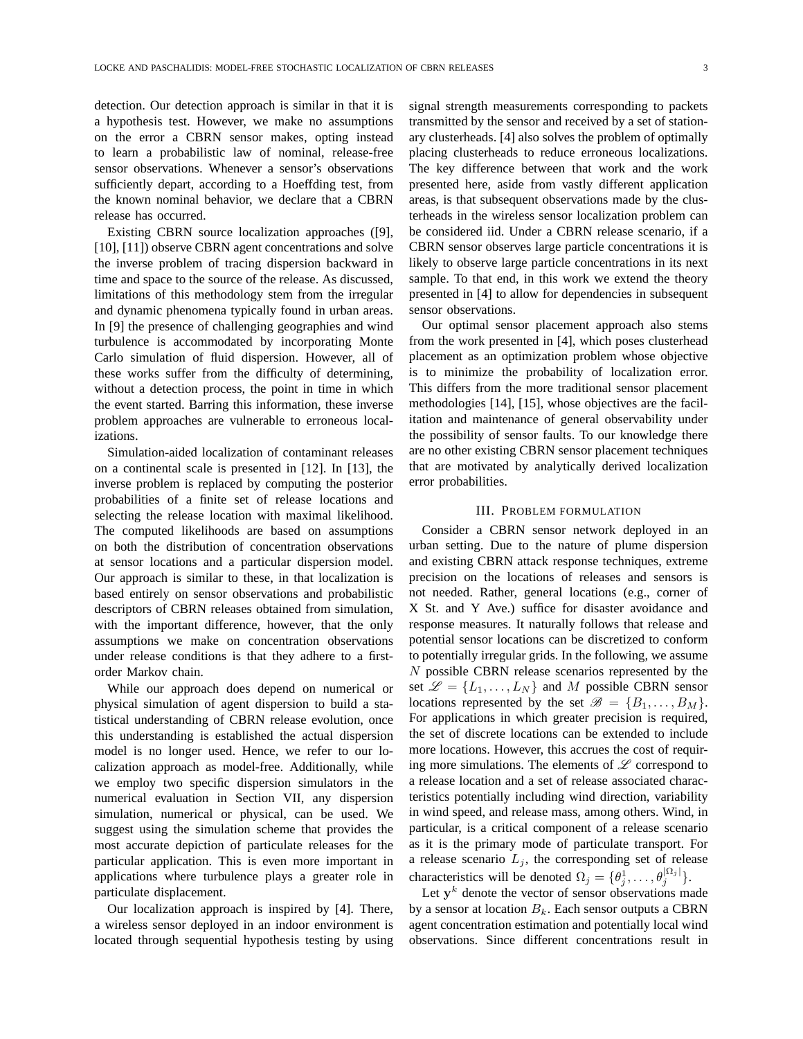detection. Our detection approach is similar in that it is a hypothesis test. However, we make no assumptions on the error a CBRN sensor makes, opting instead to learn a probabilistic law of nominal, release-free sensor observations. Whenever a sensor's observations sufficiently depart, according to a Hoeffding test, from the known nominal behavior, we declare that a CBRN release has occurred.

Existing CBRN source localization approaches ([9], [10], [11]) observe CBRN agent concentrations and solve the inverse problem of tracing dispersion backward in time and space to the source of the release. As discussed, limitations of this methodology stem from the irregular and dynamic phenomena typically found in urban areas. In [9] the presence of challenging geographies and wind turbulence is accommodated by incorporating Monte Carlo simulation of fluid dispersion. However, all of these works suffer from the difficulty of determining, without a detection process, the point in time in which the event started. Barring this information, these inverse problem approaches are vulnerable to erroneous localizations.

Simulation-aided localization of contaminant releases on a continental scale is presented in [12]. In [13], the inverse problem is replaced by computing the posterior probabilities of a finite set of release locations and selecting the release location with maximal likelihood. The computed likelihoods are based on assumptions on both the distribution of concentration observations at sensor locations and a particular dispersion model. Our approach is similar to these, in that localization is based entirely on sensor observations and probabilistic descriptors of CBRN releases obtained from simulation, with the important difference, however, that the only assumptions we make on concentration observations under release conditions is that they adhere to a firstorder Markov chain.

While our approach does depend on numerical or physical simulation of agent dispersion to build a statistical understanding of CBRN release evolution, once this understanding is established the actual dispersion model is no longer used. Hence, we refer to our localization approach as model-free. Additionally, while we employ two specific dispersion simulators in the numerical evaluation in Section VII, any dispersion simulation, numerical or physical, can be used. We suggest using the simulation scheme that provides the most accurate depiction of particulate releases for the particular application. This is even more important in applications where turbulence plays a greater role in particulate displacement.

Our localization approach is inspired by [4]. There, a wireless sensor deployed in an indoor environment is located through sequential hypothesis testing by using

signal strength measurements corresponding to packets transmitted by the sensor and received by a set of stationary clusterheads. [4] also solves the problem of optimally placing clusterheads to reduce erroneous localizations. The key difference between that work and the work presented here, aside from vastly different application areas, is that subsequent observations made by the clusterheads in the wireless sensor localization problem can be considered iid. Under a CBRN release scenario, if a CBRN sensor observes large particle concentrations it is likely to observe large particle concentrations in its next sample. To that end, in this work we extend the theory presented in [4] to allow for dependencies in subsequent sensor observations.

Our optimal sensor placement approach also stems from the work presented in [4], which poses clusterhead placement as an optimization problem whose objective is to minimize the probability of localization error. This differs from the more traditional sensor placement methodologies [14], [15], whose objectives are the facilitation and maintenance of general observability under the possibility of sensor faults. To our knowledge there are no other existing CBRN sensor placement techniques that are motivated by analytically derived localization error probabilities.

# III. PROBLEM FORMULATION

Consider a CBRN sensor network deployed in an urban setting. Due to the nature of plume dispersion and existing CBRN attack response techniques, extreme precision on the locations of releases and sensors is not needed. Rather, general locations (e.g., corner of X St. and Y Ave.) suffice for disaster avoidance and response measures. It naturally follows that release and potential sensor locations can be discretized to conform to potentially irregular grids. In the following, we assume  $N$  possible CBRN release scenarios represented by the set  $\mathscr{L} = \{L_1, \ldots, L_N\}$  and M possible CBRN sensor locations represented by the set  $\mathscr{B} = \{B_1, \ldots, B_M\}.$ For applications in which greater precision is required, the set of discrete locations can be extended to include more locations. However, this accrues the cost of requiring more simulations. The elements of  $\mathscr L$  correspond to a release location and a set of release associated characteristics potentially including wind direction, variability in wind speed, and release mass, among others. Wind, in particular, is a critical component of a release scenario as it is the primary mode of particulate transport. For a release scenario  $L_i$ , the corresponding set of release characteristics will be denoted  $\Omega_j = {\theta_j^1, \dots, \theta_j^{|\Omega_j|}}.$ 

Let  $y^k$  denote the vector of sensor observations made by a sensor at location  $B_k$ . Each sensor outputs a CBRN agent concentration estimation and potentially local wind observations. Since different concentrations result in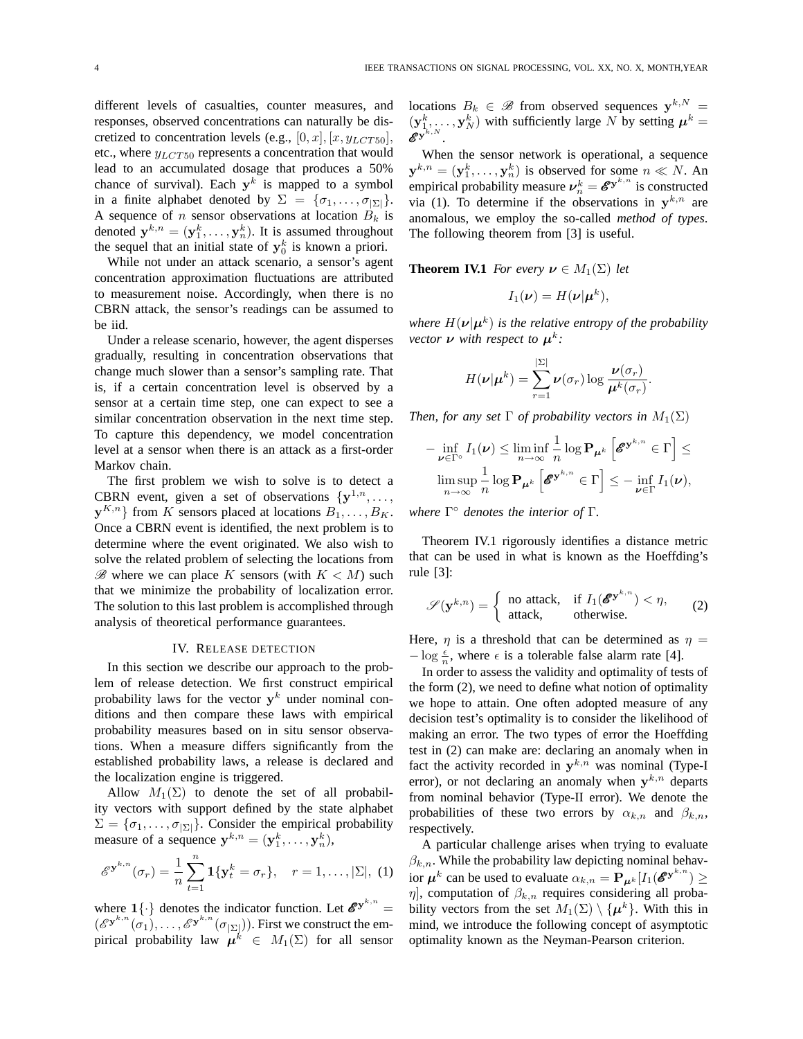different levels of casualties, counter measures, and responses, observed concentrations can naturally be discretized to concentration levels (e.g.,  $[0, x]$ ,  $[x, y_{LCT50}]$ , etc., where  $y_{LCT50}$  represents a concentration that would lead to an accumulated dosage that produces a 50% chance of survival). Each  $y^k$  is mapped to a symbol in a finite alphabet denoted by  $\Sigma = {\sigma_1, \ldots, \sigma_{|\Sigma|}}.$ A sequence of n sensor observations at location  $B_k$  is denoted  $y^{k,n} = (y_1^k, \dots, y_n^k)$ . It is assumed throughout the sequel that an initial state of  $y_0^k$  is known a priori.

While not under an attack scenario, a sensor's agent concentration approximation fluctuations are attributed to measurement noise. Accordingly, when there is no CBRN attack, the sensor's readings can be assumed to be iid.

Under a release scenario, however, the agent disperses gradually, resulting in concentration observations that change much slower than a sensor's sampling rate. That is, if a certain concentration level is observed by a sensor at a certain time step, one can expect to see a similar concentration observation in the next time step. To capture this dependency, we model concentration level at a sensor when there is an attack as a first-order Markov chain.

The first problem we wish to solve is to detect a CBRN event, given a set of observations  $\{y^{1,n}, \ldots,$  $\{y^{K,n}\}\$  from K sensors placed at locations  $B_1,\ldots,B_K$ . Once a CBRN event is identified, the next problem is to determine where the event originated. We also wish to solve the related problem of selecting the locations from  $\mathscr{B}$  where we can place K sensors (with  $K < M$ ) such that we minimize the probability of localization error. The solution to this last problem is accomplished through analysis of theoretical performance guarantees.

#### IV. RELEASE DETECTION

In this section we describe our approach to the problem of release detection. We first construct empirical probability laws for the vector  $y^k$  under nominal conditions and then compare these laws with empirical probability measures based on in situ sensor observations. When a measure differs significantly from the established probability laws, a release is declared and the localization engine is triggered.

Allow  $M_1(\Sigma)$  to denote the set of all probability vectors with support defined by the state alphabet  $\Sigma = {\sigma_1, \ldots, \sigma_{|\Sigma|}}$ . Consider the empirical probability measure of a sequence  $y^{k,n} = (y_1^k, \dots, y_n^k)$ ,

$$
\mathscr{E}^{\mathbf{y}^{k,n}}(\sigma_r) = \frac{1}{n} \sum_{t=1}^n \mathbf{1}\{\mathbf{y}_t^k = \sigma_r\}, \quad r = 1, \dots, |\Sigma|, (1)
$$

where  $1\{\cdot\}$  denotes the indicator function. Let  $\mathscr{E}^{\mathbf{y}^{k,n}}=$  $(\mathscr{E}^{\mathbf{y}^{k,n}}(\sigma_1), \ldots, \mathscr{E}^{\mathbf{y}^{k,n}}(\sigma_{|\Sigma|}))$ . First we construct the empirical probability law  $\mu^k \in M_1(\Sigma)$  for all sensor locations  $B_k \in \mathscr{B}$  from observed sequences  $y^{k,N} =$  $(y_1^k, \dots, y_N^k)$  with sufficiently large N by setting  $\mu^k =$  $\mathscr{E}^{\rm y}$ .

When the sensor network is operational, a sequence  $y^{k,n} = (\mathbf{y}_1^k, \dots, \mathbf{y}_n^k)$  is observed for some  $n \ll N$ . An empirical probability measure  $\nu_n^k = \mathscr{E}^{\mathbf{y}^{k,n}}$  is constructed via (1). To determine if the observations in  $y^{k,n}$  are anomalous, we employ the so-called *method of types*. The following theorem from [3] is useful.

**Theorem IV.1** *For every*  $v \in M_1(\Sigma)$  *let* 

$$
I_1(\boldsymbol{\nu})=H(\boldsymbol{\nu}|\boldsymbol{\mu}^k),
$$

where  $H(\nu|\mu^k)$  is the relative entropy of the probability *vector*  $\nu$  *with respect to*  $\mu^k$ *:* 

$$
H(\boldsymbol{\nu}|\boldsymbol{\mu}^{k})=\sum_{r=1}^{|\Sigma|}\boldsymbol{\nu}(\sigma_r)\log\frac{\boldsymbol{\nu}(\sigma_r)}{\boldsymbol{\mu}^{k}(\sigma_r)}.
$$

*Then, for any set*  $\Gamma$  *of probability vectors in*  $M_1(\Sigma)$ 

$$
-\inf_{\boldsymbol{\nu}\in\Gamma^{\circ}}I_{1}(\boldsymbol{\nu})\leq\liminf_{n\to\infty}\frac{1}{n}\log\mathbf{P}_{\boldsymbol{\mu}^{k}}\left[\boldsymbol{\mathscr{E}}^{\mathbf{y}^{k,n}}\in\Gamma\right]\leq\\ \limsup_{n\to\infty}\frac{1}{n}\log\mathbf{P}_{\boldsymbol{\mu}^{k}}\left[\boldsymbol{\mathscr{E}}^{\mathbf{y}^{k,n}}\in\Gamma\right]\leq-\inf_{\boldsymbol{\nu}\in\Gamma}I_{1}(\boldsymbol{\nu}),
$$

*where* Γ ◦ *denotes the interior of* Γ*.*

Theorem IV.1 rigorously identifies a distance metric that can be used in what is known as the Hoeffding's rule [3]:

$$
\mathcal{S}(\mathbf{y}^{k,n}) = \begin{cases} \text{no attack,} & \text{if } I_1(\mathcal{E}\mathbf{y}^{k,n}) < \eta, \\ \text{attack,} & \text{otherwise.} \end{cases} \tag{2}
$$

Here,  $\eta$  is a threshold that can be determined as  $\eta =$  $-\log \frac{\epsilon}{n}$ , where  $\epsilon$  is a tolerable false alarm rate [4].

In order to assess the validity and optimality of tests of the form (2), we need to define what notion of optimality we hope to attain. One often adopted measure of any decision test's optimality is to consider the likelihood of making an error. The two types of error the Hoeffding test in (2) can make are: declaring an anomaly when in fact the activity recorded in  $y^{k,n}$  was nominal (Type-I error), or not declaring an anomaly when  $y^{k,n}$  departs from nominal behavior (Type-II error). We denote the probabilities of these two errors by  $\alpha_{k,n}$  and  $\beta_{k,n}$ , respectively.

A particular challenge arises when trying to evaluate  $\beta_{k,n}$ . While the probability law depicting nominal behavior  $\mu^k$  can be used to evaluate  $\alpha_{k,n} = \mathbf{P}_{\mu^k}[I_1(\mathscr{E}^{\mathbf{y}^{k,n}}) \geq$ η], computation of  $\beta_{k,n}$  requires considering all probability vectors from the set  $M_1(\Sigma) \setminus \{\mu^k\}$ . With this in mind, we introduce the following concept of asymptotic optimality known as the Neyman-Pearson criterion.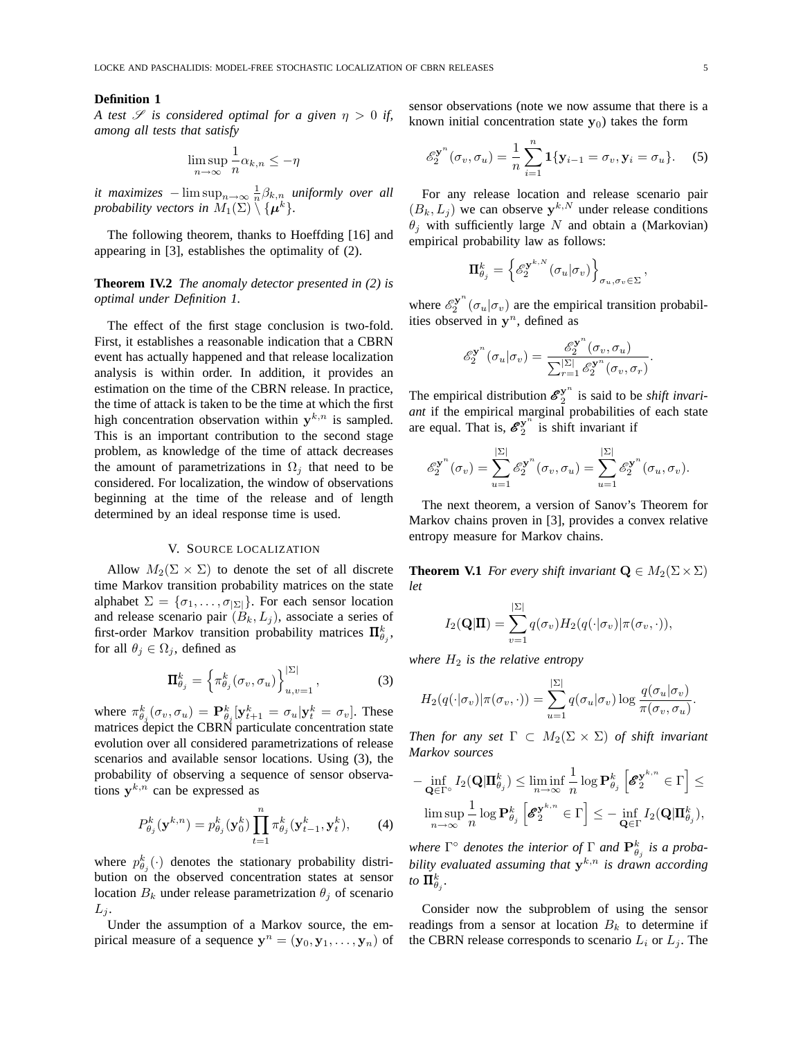#### **Definition 1**

*A test*  $\mathscr S$  *is considered optimal for a given*  $\eta > 0$  *if, among all tests that satisfy*

$$
\limsup_{n \to \infty} \frac{1}{n} \alpha_{k,n} \le -\eta
$$

*it maximizes*  $-\limsup_{n\to\infty} \frac{1}{n}\beta_{k,n}$  *uniformly over all probability vectors in*  $M_1(\Sigma) \setminus \{\mu^k\}.$ 

The following theorem, thanks to Hoeffding [16] and appearing in [3], establishes the optimality of (2).

# **Theorem IV.2** *The anomaly detector presented in (2) is optimal under Definition 1.*

The effect of the first stage conclusion is two-fold. First, it establishes a reasonable indication that a CBRN event has actually happened and that release localization analysis is within order. In addition, it provides an estimation on the time of the CBRN release. In practice, the time of attack is taken to be the time at which the first high concentration observation within  $y^{k,n}$  is sampled. This is an important contribution to the second stage problem, as knowledge of the time of attack decreases the amount of parametrizations in  $\Omega_i$  that need to be considered. For localization, the window of observations beginning at the time of the release and of length determined by an ideal response time is used.

# V. SOURCE LOCALIZATION

Allow  $M_2(\Sigma \times \Sigma)$  to denote the set of all discrete time Markov transition probability matrices on the state alphabet  $\Sigma = {\sigma_1, \ldots, \sigma_{|\Sigma|}}$ . For each sensor location and release scenario pair  $(B_k, L_i)$ , associate a series of first-order Markov transition probability matrices  $\mathbf{\Pi}_{\theta_j}^k$ , for all  $\theta_j \in \Omega_j$ , defined as

$$
\Pi_{\theta_j}^k = \left\{ \pi_{\theta_j}^k(\sigma_v, \sigma_u) \right\}_{u,v=1}^{|\Sigma|},\tag{3}
$$

where  $\pi_{\theta_j}^k(\sigma_v, \sigma_u) = \mathbf{P}_{\theta_j}^k[\mathbf{y}_{t+1}^k = \sigma_u | \mathbf{y}_t^k = \sigma_v].$  These matrices depict the CBRN particulate concentration state evolution over all considered parametrizations of release scenarios and available sensor locations. Using (3), the probability of observing a sequence of sensor observations  $y^{k,n}$  can be expressed as

$$
P_{\theta_j}^k(\mathbf{y}^{k,n}) = p_{\theta_j}^k(\mathbf{y}_0^k) \prod_{t=1}^n \pi_{\theta_j}^k(\mathbf{y}_{t-1}^k, \mathbf{y}_t^k), \qquad (4)
$$

where  $p_{\theta_j}^k(\cdot)$  denotes the stationary probability distribution on the observed concentration states at sensor location  $B_k$  under release parametrization  $\theta_j$  of scenario  $L_j$ .

Under the assumption of a Markov source, the empirical measure of a sequence  $y^n = (\mathbf{y}_0, \mathbf{y}_1, \dots, \mathbf{y}_n)$  of sensor observations (note we now assume that there is a known initial concentration state  $y_0$ ) takes the form

$$
\mathscr{E}_{2}^{\mathbf{y}^{n}}(\sigma_{v},\sigma_{u})=\frac{1}{n}\sum_{i=1}^{n}\mathbf{1}\{\mathbf{y}_{i-1}=\sigma_{v},\mathbf{y}_{i}=\sigma_{u}\}.
$$
 (5)

For any release location and release scenario pair  $(B_k, L_j)$  we can observe  $y^{k,N}$  under release conditions  $\theta_i$  with sufficiently large N and obtain a (Markovian) empirical probability law as follows:

$$
\Pi_{\theta_j}^k = \left\{ \mathscr{E}_2^{\mathbf{y}^{k,N}}(\sigma_u | \sigma_v) \right\}_{\sigma_u, \sigma_v \in \Sigma},
$$

where  $\mathscr{E}_2^{\mathbf{y}^n}$  $2^{\text{Sy}^{\text{Sy}}}(\sigma_u|\sigma_v)$  are the empirical transition probabilities observed in  $y^n$ , defined as

$$
\mathscr{E}_{2}^{\mathbf{y}^{n}}(\sigma_{u}|\sigma_{v})=\frac{\mathscr{E}_{2}^{\mathbf{y}^{n}}(\sigma_{v},\sigma_{u})}{\sum_{r=1}^{|\Sigma|}\mathscr{E}_{2}^{\mathbf{y}^{n}}(\sigma_{v},\sigma_{r})}.
$$

The empirical distribution  $\mathscr{E}_2^{\mathbf{y}^n}$ 2 is said to be *shift invariant* if the empirical marginal probabilities of each state are equal. That is,  $\mathscr{E}_2^{\mathbf{y}^n}$  $\frac{y}{2}$  is shift invariant if

$$
\mathscr{E}_{2}^{\mathbf{y}^{n}}(\sigma_{v})=\sum_{u=1}^{|\Sigma|}\mathscr{E}_{2}^{\mathbf{y}^{n}}(\sigma_{v},\sigma_{u})=\sum_{u=1}^{|\Sigma|}\mathscr{E}_{2}^{\mathbf{y}^{n}}(\sigma_{u},\sigma_{v}).
$$

The next theorem, a version of Sanov's Theorem for Markov chains proven in [3], provides a convex relative entropy measure for Markov chains.

**Theorem V.1** *For every shift invariant*  $\mathbf{Q} \in M_2(\Sigma \times \Sigma)$ *let*

$$
I_2(\mathbf{Q}|\mathbf{\Pi}) = \sum_{v=1}^{|\Sigma|} q(\sigma_v) H_2(q(\cdot|\sigma_v)|\pi(\sigma_v,\cdot)),
$$

*where*  $H_2$  *is the relative entropy* 

$$
H_2(q(\cdot|\sigma_v)|\pi(\sigma_v,\cdot)) = \sum_{u=1}^{|\Sigma|} q(\sigma_u|\sigma_v) \log \frac{q(\sigma_u|\sigma_v)}{\pi(\sigma_v,\sigma_u)}
$$

*Then for any set*  $\Gamma \subset M_2(\Sigma \times \Sigma)$  *of shift invariant Markov sources*

$$
-\inf_{\mathbf{Q}\in\Gamma^\circ}I_2(\mathbf{Q}|\Pi_{\theta_j}^k)\leq\liminf_{n\rightarrow\infty}\frac{1}{n}\log\mathbf{P}_{\theta_j}^k\left[\pmb{\mathscr{E}}_2^{\mathbf{y}^{k,n}}\in\Gamma\right]\leq\\ \limsup_{n\rightarrow\infty}\frac{1}{n}\log\mathbf{P}_{\theta_j}^k\left[\pmb{\mathscr{E}}_2^{\mathbf{y}^{k,n}}\in\Gamma\right]\leq-\inf_{\mathbf{Q}\in\Gamma}I_2(\mathbf{Q}|\Pi_{\theta_j}^k),
$$

where  $\Gamma^{\circ}$  *denotes the interior of*  $\Gamma$  *and*  $\mathbf{P}^k_{\theta_j}$  *is a probability evaluated assuming that* y k,n *is drawn according to*  $\Pi_{\theta_j}^k$ .

Consider now the subproblem of using the sensor readings from a sensor at location  $B_k$  to determine if the CBRN release corresponds to scenario  $L_i$  or  $L_j$ . The

.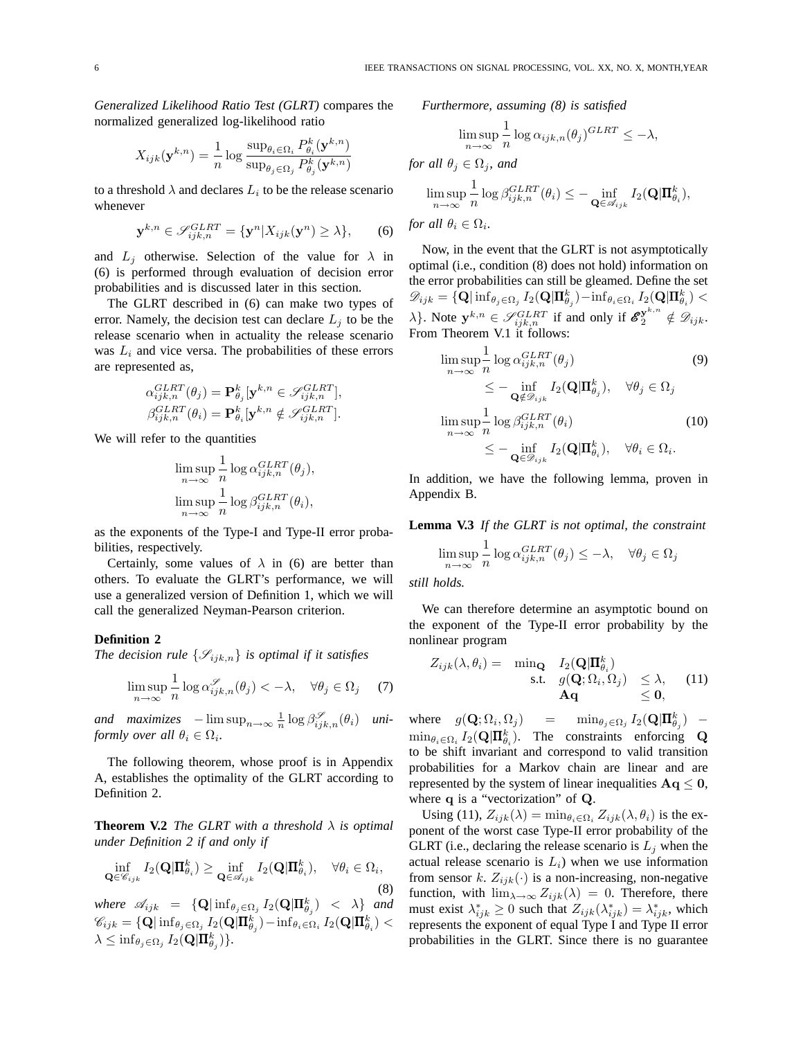*Generalized Likelihood Ratio Test (GLRT)* compares the normalized generalized log-likelihood ratio

$$
X_{ijk}(\mathbf{y}^{k,n}) = \frac{1}{n} \log \frac{\sup_{\theta_i \in \Omega_i} P_{\theta_i}^k(\mathbf{y}^{k,n})}{\sup_{\theta_j \in \Omega_j} P_{\theta_j}^k(\mathbf{y}^{k,n})}
$$

to a threshold  $\lambda$  and declares  $L_i$  to be the release scenario whenever

$$
\mathbf{y}^{k,n} \in \mathscr{S}_{ijk,n}^{GLRT} = {\mathbf{y}^n | X_{ijk}(\mathbf{y}^n) \ge \lambda}, \qquad (6)
$$

and  $L_j$  otherwise. Selection of the value for  $\lambda$  in (6) is performed through evaluation of decision error probabilities and is discussed later in this section.

The GLRT described in (6) can make two types of error. Namely, the decision test can declare  $L_i$  to be the release scenario when in actuality the release scenario was  $L_i$  and vice versa. The probabilities of these errors are represented as,

$$
\begin{array}{l} \alpha_{ijk,n}^{GLRT}(\theta_j) = \mathbf{P}^k_{\theta_j}[\mathbf{y}^{k,n}\in\mathscr{S}^{GLRT}_{ijk,n}],\\ \beta_{ijk,n}^{GLRT}(\theta_i) = \mathbf{P}^k_{\theta_i}[\mathbf{y}^{k,n}\notin\mathscr{S}^{GLRT}_{ijk,n}]. \end{array}
$$

We will refer to the quantities

$$
\limsup_{n \to \infty} \frac{1}{n} \log \alpha_{ijk,n}^{GLRT}(\theta_j),
$$
  

$$
\limsup_{n \to \infty} \frac{1}{n} \log \beta_{ijk,n}^{GLRT}(\theta_i),
$$

as the exponents of the Type-I and Type-II error probabilities, respectively.

Certainly, some values of  $\lambda$  in (6) are better than others. To evaluate the GLRT's performance, we will use a generalized version of Definition 1, which we will call the generalized Neyman-Pearson criterion.

#### **Definition 2**

*The decision rule*  $\{\mathcal{S}_{ijk,n}\}\$  *is optimal if it satisfies* 

$$
\limsup_{n \to \infty} \frac{1}{n} \log \alpha_{ijk,n}^{\mathcal{S}}(\theta_j) < -\lambda, \quad \forall \theta_j \in \Omega_j \quad (7)
$$

and maximizes  $-\limsup_{n\to\infty} \frac{1}{n} \log \beta_{ijk,n}^{\mathscr{S}}(\theta_i)$  *uniformly over all*  $\theta_i \in \Omega_i$ .

The following theorem, whose proof is in Appendix A, establishes the optimality of the GLRT according to Definition 2.

**Theorem V.2** *The GLRT with a threshold*  $\lambda$  *is optimal under Definition 2 if and only if*

$$
\inf_{\mathbf{Q}\in\mathscr{C}_{ijk}} I_2(\mathbf{Q}|\mathbf{\Pi}_{\theta_i}^k) \ge \inf_{\mathbf{Q}\in\mathscr{A}_{ijk}} I_2(\mathbf{Q}|\mathbf{\Pi}_{\theta_i}^k), \quad \forall \theta_i \in \Omega_i,
$$
\n(8)

*where*  $\mathscr{A}_{ijk}$  =  $\{ \mathbf{Q} | \inf_{\theta_j \in \Omega_j} I_2(\mathbf{Q} | \mathbf{\Pi}_{\theta_j}^k)$  <  $\lambda \}$  *and*  $\mathscr{C}_{ijk} = \{\mathbf{Q}|\inf_{\theta_j \in \Omega_j}I_2(\mathbf{Q}|\mathbf{\Pi}^k_{\theta_j}) - \inf_{\theta_i \in \Omega_i}I_2(\mathbf{Q}|\mathbf{\Pi}^k_{\theta_i}) < 0\}$  $\lambda \leq \inf_{\theta_j \in \Omega_j} I_2(\mathbf{Q} | \mathbf{\Pi}_{\theta_j}^k) \}.$ 

*Furthermore, assuming (8) is satisfied*

$$
\limsup_{n \to \infty} \frac{1}{n} \log \alpha_{ijk,n}(\theta_j)^{GLRT} \le -\lambda,
$$

for all 
$$
\theta_j \in \Omega_j
$$
, and  
\n
$$
\limsup_{n \to \infty} \frac{1}{n} \log \beta_{ijk,n}^{GLRT}(\theta_i) \leq - \inf_{\mathbf{Q} \in \mathscr{A}_{ijk}} I_2(\mathbf{Q} | \mathbf{\Pi}_{\theta_i}^k),
$$

*for all*  $\theta_i \in \Omega_i$ *.* 

Now, in the event that the GLRT is not asymptotically optimal (i.e., condition (8) does not hold) information on the error probabilities can still be gleamed. Define the set  $\mathscr{D}_{ijk} = \{\mathbf{Q} | \inf_{\theta_j \in \Omega_j} I_2(\mathbf{Q} | \mathbf{\Pi}^k_{\theta_j}) - \inf_{\theta_i \in \Omega_i} I_2(\mathbf{Q} | \mathbf{\Pi}^k_{\theta_i})$  $\lambda$ }. Note  $y^{k,n} \in \mathscr{S}_{ijk,n}^{GLRT}$  if and only if  $\mathscr{E}_2^{y^{k,n}} \notin \mathscr{D}_{ijk}$ . From Theorem V.1 it follows:

$$
\limsup_{n \to \infty} \frac{1}{n} \log \alpha_{ijk,n}^{GLRT}(\theta_j)
$$
\n
$$
\leq - \inf_{\mathbf{Q} \notin \mathcal{D}_{ijk}} I_2(\mathbf{Q} | \mathbf{\Pi}_{\theta_j}^k), \quad \forall \theta_j \in \Omega_j
$$
\n
$$
\limsup_{n \to \infty} \frac{1}{n} \log \beta_{ijk,n}^{GLRT}(\theta_i)
$$
\n
$$
\leq - \inf_{\mathbf{Q} \in \mathcal{D}_{ijk}} I_2(\mathbf{Q} | \mathbf{\Pi}_{\theta_i}^k), \quad \forall \theta_i \in \Omega_i.
$$
\n(10)

In addition, we have the following lemma, proven in Appendix B.

**Lemma V.3** *If the GLRT is not optimal, the constraint*

$$
\limsup_{n \to \infty} \frac{1}{n} \log \alpha_{ijk,n}^{GLRT}(\theta_j) \le -\lambda, \quad \forall \theta_j \in \Omega_j
$$

*still holds.*

We can therefore determine an asymptotic bound on the exponent of the Type-II error probability by the nonlinear program

$$
Z_{ijk}(\lambda, \theta_i) = \min_{\mathbf{Q}} \quad I_2(\mathbf{Q} | \mathbf{\Pi}_{\theta_i}^k) \n\text{s.t.} \quad g(\mathbf{Q}; \Omega_i, \Omega_j) \leq \lambda, \quad (11) \n\mathbf{A}\mathbf{q}
$$

where  $g(\mathbf{Q}; \Omega_i, \Omega_j)$  $\hspace{.1cm} T_{1}(\Omega_{j}) \hspace{.2cm} = \hspace{.2cm} \min_{\theta_{j} \in \Omega_{j}} I_{2}(\mathbf{Q} | \mathbf{\Pi}^{k}_{\theta_{j}}) \hspace{.2cm} - \hspace{.2cm}$  $\min_{\theta_i \in \Omega_i} I_2(\mathbf{Q} | \mathbf{\Pi}_{\theta_i}^k)$ . The constraints enforcing Q to be shift invariant and correspond to valid transition probabilities for a Markov chain are linear and are represented by the system of linear inequalities  $Aq \leq 0$ , where q is a "vectorization" of Q.

Using (11),  $Z_{ijk}(\lambda) = \min_{\theta_i \in \Omega_i} Z_{ijk}(\lambda, \theta_i)$  is the exponent of the worst case Type-II error probability of the GLRT (i.e., declaring the release scenario is  $L_i$  when the actual release scenario is  $L_i$ ) when we use information from sensor k.  $Z_{ijk}(\cdot)$  is a non-increasing, non-negative function, with  $\lim_{\lambda \to \infty} Z_{ijk}(\lambda) = 0$ . Therefore, there must exist  $\lambda_{ijk}^* \ge 0$  such that  $Z_{ijk}(\lambda_{ijk}^*) = \lambda_{ijk}^*$ , which represents the exponent of equal Type I and Type II error probabilities in the GLRT. Since there is no guarantee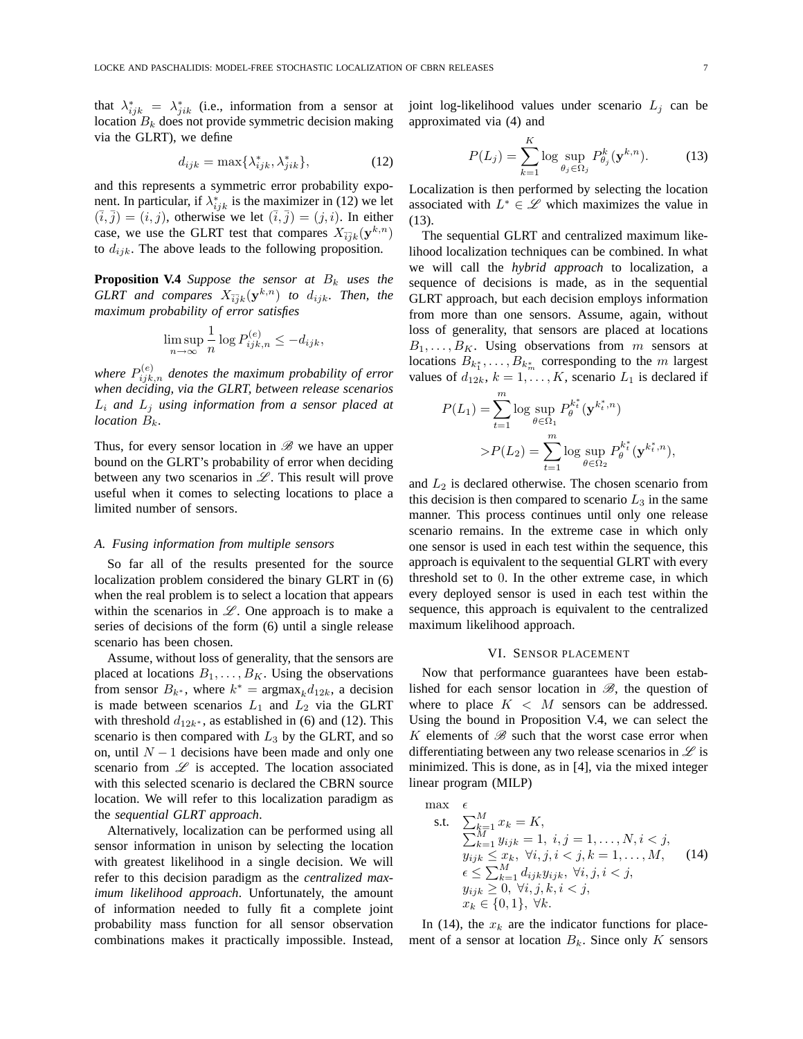that  $\lambda^*_{ijk} = \lambda^*_{jik}$  (i.e., information from a sensor at location  $B_k$  does not provide symmetric decision making via the GLRT), we define

$$
d_{ijk} = \max\{\lambda_{ijk}^*, \lambda_{jik}^*\},\tag{12}
$$

and this represents a symmetric error probability exponent. In particular, if  $\lambda_{ijk}^*$  is the maximizer in (12) we let  $(i, j) = (i, j)$ , otherwise we let  $(i, j) = (j, i)$ . In either case, we use the GLRT test that compares  $X_{\bar{i}j k}(\mathbf{y}^{k,n})$ to  $d_{ijk}$ . The above leads to the following proposition.

**Proposition V.4** *Suppose the sensor at*  $B_k$  *uses the*  $GLRT$  and compares  $X_{\bar{i} \bar{j} k}(\mathbf{y}^{k,n})$  to  $d_{ijk}$ . Then, the *maximum probability of error satisfies*

$$
\limsup_{n \to \infty} \frac{1}{n} \log P_{ijk,n}^{(e)} \le -d_{ijk},
$$

where  $P_{ijk,n}^{(e)}$  denotes the maximum probability of error *when deciding, via the GLRT, between release scenarios* L<sup>i</sup> *and* L<sup>j</sup> *using information from a sensor placed at location*  $B_k$ *.* 

Thus, for every sensor location in  $\mathscr{B}$  we have an upper bound on the GLRT's probability of error when deciding between any two scenarios in  $\mathscr{L}$ . This result will prove useful when it comes to selecting locations to place a limited number of sensors.

### *A. Fusing information from multiple sensors*

So far all of the results presented for the source localization problem considered the binary GLRT in (6) when the real problem is to select a location that appears within the scenarios in  $\mathscr{L}$ . One approach is to make a series of decisions of the form (6) until a single release scenario has been chosen.

Assume, without loss of generality, that the sensors are placed at locations  $B_1, \ldots, B_K$ . Using the observations from sensor  $B_{k^*}$ , where  $k^* = \text{argmax}_k d_{12k}$ , a decision is made between scenarios  $L_1$  and  $L_2$  via the GLRT with threshold  $d_{12k^*}$ , as established in (6) and (12). This scenario is then compared with  $L_3$  by the GLRT, and so on, until  $N - 1$  decisions have been made and only one scenario from  $\mathscr L$  is accepted. The location associated with this selected scenario is declared the CBRN source location. We will refer to this localization paradigm as the *sequential GLRT approach*.

Alternatively, localization can be performed using all sensor information in unison by selecting the location with greatest likelihood in a single decision. We will refer to this decision paradigm as the *centralized maximum likelihood approach*. Unfortunately, the amount of information needed to fully fit a complete joint probability mass function for all sensor observation combinations makes it practically impossible. Instead, joint log-likelihood values under scenario  $L_i$  can be approximated via (4) and

$$
P(L_j) = \sum_{k=1}^{K} \log \sup_{\theta_j \in \Omega_j} P_{\theta_j}^k(\mathbf{y}^{k,n}).
$$
 (13)

Localization is then performed by selecting the location associated with  $L^* \in \mathscr{L}$  which maximizes the value in (13).

The sequential GLRT and centralized maximum likelihood localization techniques can be combined. In what we will call the *hybrid approach* to localization, a sequence of decisions is made, as in the sequential GLRT approach, but each decision employs information from more than one sensors. Assume, again, without loss of generality, that sensors are placed at locations  $B_1, \ldots, B_K$ . Using observations from m sensors at locations  $B_{k_1^*}, \ldots, B_{k_m^*}$  corresponding to the m largest values of  $d_{12k}$ ,  $k = 1, \ldots, K$ , scenario  $L_1$  is declared if

$$
P(L_1) = \sum_{t=1}^{m} \log \sup_{\theta \in \Omega_1} P_{\theta}^{k_t^*}(\mathbf{y}^{k_t^*, n})
$$

$$
> P(L_2) = \sum_{t=1}^{m} \log \sup_{\theta \in \Omega_2} P_{\theta}^{k_t^*}(\mathbf{y}^{k_t^*, n}),
$$

and  $L_2$  is declared otherwise. The chosen scenario from this decision is then compared to scenario  $L_3$  in the same manner. This process continues until only one release scenario remains. In the extreme case in which only one sensor is used in each test within the sequence, this approach is equivalent to the sequential GLRT with every threshold set to 0. In the other extreme case, in which every deployed sensor is used in each test within the sequence, this approach is equivalent to the centralized maximum likelihood approach.

### VI. SENSOR PLACEMENT

Now that performance guarantees have been established for each sensor location in  $\mathscr{B}$ , the question of where to place  $K < M$  sensors can be addressed. Using the bound in Proposition V.4, we can select the  $K$  elements of  $B$  such that the worst case error when differentiating between any two release scenarios in  $\mathscr L$  is minimized. This is done, as in [4], via the mixed integer linear program (MILP)

 $\mathbf{m}$ 

18.1. 
$$
\sum_{k=1}^{M} x_{k} = K,
$$

\n2.1. 
$$
\sum_{k=1}^{M} y_{ijk} = 1, \quad i, j = 1, \ldots, N, i < j,
$$

\n3.3. 
$$
y_{ijk} \leq x_{k}, \quad \forall i, j, i < j, k = 1, \ldots, M,
$$

\n4. 
$$
\epsilon \leq \sum_{k=1}^{M} d_{ijk} y_{ijk}, \quad \forall i, j, i < j,
$$

\n5. 
$$
y_{ijk} \geq 0, \quad \forall i, j, k, i < j,
$$

\n6. 
$$
x_{k} \in \{0, 1\}, \quad \forall k.
$$

In (14), the  $x_k$  are the indicator functions for placement of a sensor at location  $B_k$ . Since only K sensors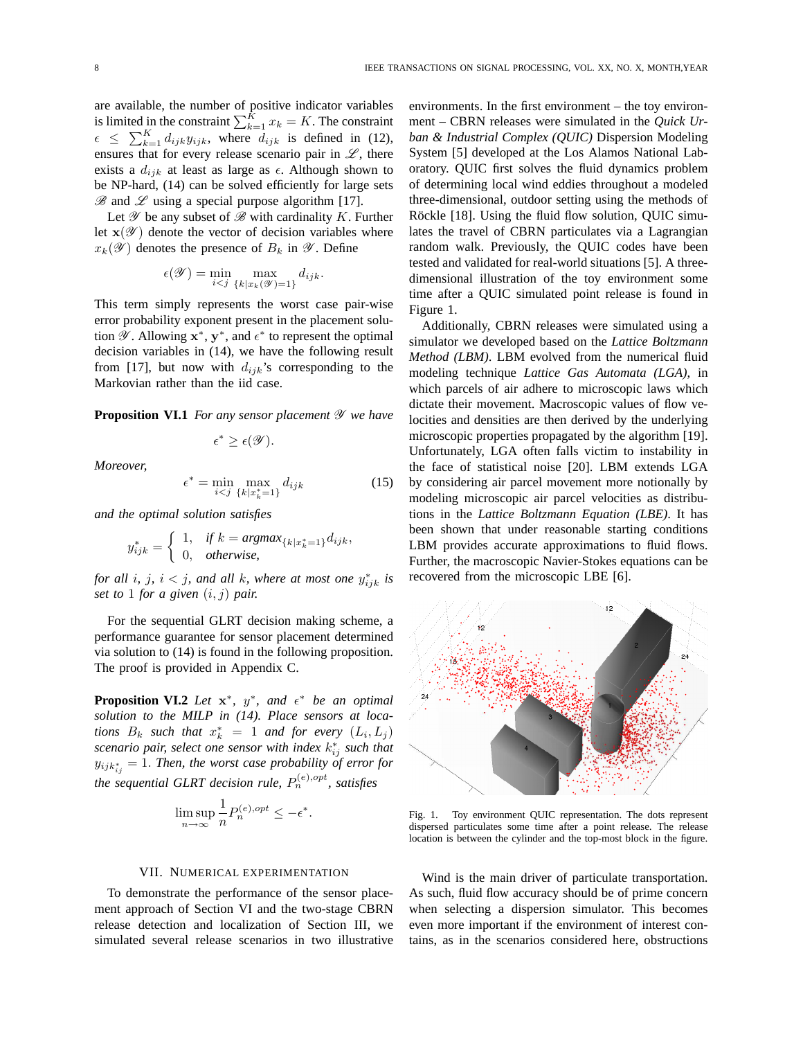are available, the number of positive indicator variables is limited in the constraint  $\sum_{k=1}^{K} x_k = K$ . The constraint  $\epsilon \leq \sum_{k=1}^{K} d_{ijk} y_{ijk}$ , where  $d_{ijk}$  is defined in (12), ensures that for every release scenario pair in  $\mathscr{L}$ , there exists a  $d_{ijk}$  at least as large as  $\epsilon$ . Although shown to be NP-hard, (14) can be solved efficiently for large sets  $\mathscr{B}$  and  $\mathscr{L}$  using a special purpose algorithm [17].

Let  $\mathscr Y$  be any subset of  $\mathscr B$  with cardinality K. Further let  $x(\mathscr{Y})$  denote the vector of decision variables where  $x_k(\mathscr{Y})$  denotes the presence of  $B_k$  in  $\mathscr{Y}$ . Define

$$
\epsilon(\mathscr{Y}) = \min_{i < j} \max_{\{k \mid x_k(\mathscr{Y}) = 1\}} d_{ijk}.
$$

This term simply represents the worst case pair-wise error probability exponent present in the placement solution  $\mathscr Y$ . Allowing  $x^*$ ,  $y^*$ , and  $\epsilon^*$  to represent the optimal decision variables in (14), we have the following result from [17], but now with  $d_{ijk}$ 's corresponding to the Markovian rather than the iid case.

**Proposition VI.1** *For any sensor placement*  $\mathcal Y$  *we have* 

$$
\epsilon^* \geq \epsilon(\mathscr{Y}).
$$

*Moreover,*

$$
\epsilon^* = \min_{i < j} \max_{\{k \mid x_k^* = 1\}} d_{ijk} \tag{15}
$$

*and the optimal solution satisfies*

$$
y_{ijk}^* = \begin{cases} 1, & \text{if } k = \operatorname{argmax}_{\{k \mid x_k^* = 1\}} d_{ijk}, \\ 0, & \text{otherwise,} \end{cases}
$$

*for all i, j, i* < *j, and all k, where at most one*  $y_{ijk}^*$  *is set to* 1 *for a given*  $(i, j)$  *pair.* 

For the sequential GLRT decision making scheme, a performance guarantee for sensor placement determined via solution to (14) is found in the following proposition. The proof is provided in Appendix C.

**Proposition VI.2** *Let*  $x^*$ *,*  $y^*$ *<i>, and*  $\epsilon^*$  *be an optimal solution to the MILP in (14). Place sensors at locations*  $B_k$  *such that*  $x_k^* = 1$  *and for every*  $(L_i, L_j)$  $s$ cenario pair, select one sensor with index  $k_{ij}^*$  such that  $y_{ijk_{ij}^*} = 1$ . *Then, the worst case probability of error for* the sequential GLRT decision rule,  $P_n^{(e), opt}$ , satisfies

$$
\limsup_{n \to \infty} \frac{1}{n} P_n^{(e), opt} \le -\epsilon^*.
$$

# VII. NUMERICAL EXPERIMENTATION

To demonstrate the performance of the sensor placement approach of Section VI and the two-stage CBRN release detection and localization of Section III, we simulated several release scenarios in two illustrative environments. In the first environment – the toy environment – CBRN releases were simulated in the *Quick Urban & Industrial Complex (QUIC)* Dispersion Modeling System [5] developed at the Los Alamos National Laboratory. QUIC first solves the fluid dynamics problem of determining local wind eddies throughout a modeled three-dimensional, outdoor setting using the methods of Röckle [18]. Using the fluid flow solution, QUIC simulates the travel of CBRN particulates via a Lagrangian random walk. Previously, the QUIC codes have been tested and validated for real-world situations [5]. A threedimensional illustration of the toy environment some time after a QUIC simulated point release is found in Figure 1.

Additionally, CBRN releases were simulated using a simulator we developed based on the *Lattice Boltzmann Method (LBM)*. LBM evolved from the numerical fluid modeling technique *Lattice Gas Automata (LGA)*, in which parcels of air adhere to microscopic laws which dictate their movement. Macroscopic values of flow velocities and densities are then derived by the underlying microscopic properties propagated by the algorithm [19]. Unfortunately, LGA often falls victim to instability in the face of statistical noise [20]. LBM extends LGA by considering air parcel movement more notionally by modeling microscopic air parcel velocities as distributions in the *Lattice Boltzmann Equation (LBE)*. It has been shown that under reasonable starting conditions LBM provides accurate approximations to fluid flows. Further, the macroscopic Navier-Stokes equations can be recovered from the microscopic LBE [6].



Fig. 1. Toy environment QUIC representation. The dots represent dispersed particulates some time after a point release. The release location is between the cylinder and the top-most block in the figure.

Wind is the main driver of particulate transportation. As such, fluid flow accuracy should be of prime concern when selecting a dispersion simulator. This becomes even more important if the environment of interest contains, as in the scenarios considered here, obstructions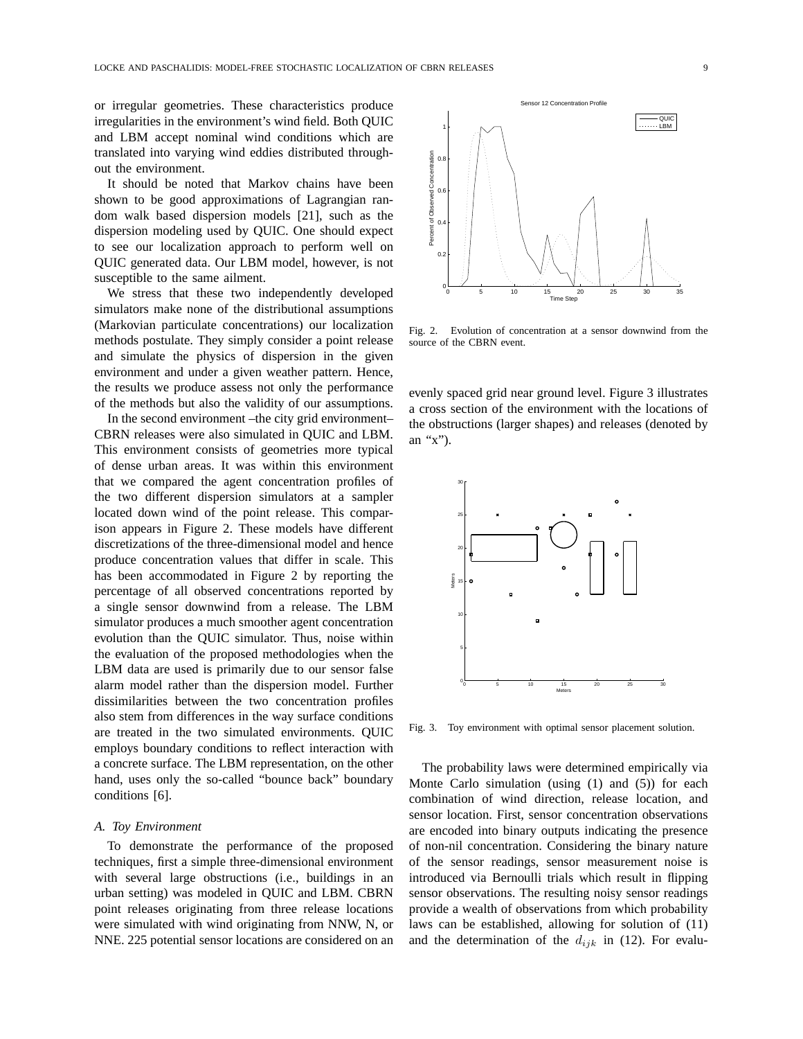or irregular geometries. These characteristics produce irregularities in the environment's wind field. Both QUIC and LBM accept nominal wind conditions which are translated into varying wind eddies distributed throughout the environment.

It should be noted that Markov chains have been shown to be good approximations of Lagrangian random walk based dispersion models [21], such as the dispersion modeling used by QUIC. One should expect to see our localization approach to perform well on QUIC generated data. Our LBM model, however, is not susceptible to the same ailment.

We stress that these two independently developed simulators make none of the distributional assumptions (Markovian particulate concentrations) our localization methods postulate. They simply consider a point release and simulate the physics of dispersion in the given environment and under a given weather pattern. Hence, the results we produce assess not only the performance of the methods but also the validity of our assumptions.

In the second environment –the city grid environment– CBRN releases were also simulated in QUIC and LBM. This environment consists of geometries more typical of dense urban areas. It was within this environment that we compared the agent concentration profiles of the two different dispersion simulators at a sampler located down wind of the point release. This comparison appears in Figure 2. These models have different discretizations of the three-dimensional model and hence produce concentration values that differ in scale. This has been accommodated in Figure 2 by reporting the percentage of all observed concentrations reported by a single sensor downwind from a release. The LBM simulator produces a much smoother agent concentration evolution than the QUIC simulator. Thus, noise within the evaluation of the proposed methodologies when the LBM data are used is primarily due to our sensor false alarm model rather than the dispersion model. Further dissimilarities between the two concentration profiles also stem from differences in the way surface conditions are treated in the two simulated environments. QUIC employs boundary conditions to reflect interaction with a concrete surface. The LBM representation, on the other hand, uses only the so-called "bounce back" boundary conditions [6].

#### *A. Toy Environment*

To demonstrate the performance of the proposed techniques, first a simple three-dimensional environment with several large obstructions (i.e., buildings in an urban setting) was modeled in QUIC and LBM. CBRN point releases originating from three release locations were simulated with wind originating from NNW, N, or NNE. 225 potential sensor locations are considered on an

Fig. 2. Evolution of concentration at a sensor downwind from the source of the CBRN event.

evenly spaced grid near ground level. Figure 3 illustrates a cross section of the environment with the locations of the obstructions (larger shapes) and releases (denoted by an "x").



Fig. 3. Toy environment with optimal sensor placement solution.

The probability laws were determined empirically via Monte Carlo simulation (using (1) and (5)) for each combination of wind direction, release location, and sensor location. First, sensor concentration observations are encoded into binary outputs indicating the presence of non-nil concentration. Considering the binary nature of the sensor readings, sensor measurement noise is introduced via Bernoulli trials which result in flipping sensor observations. The resulting noisy sensor readings provide a wealth of observations from which probability laws can be established, allowing for solution of (11) and the determination of the  $d_{ijk}$  in (12). For evalu-

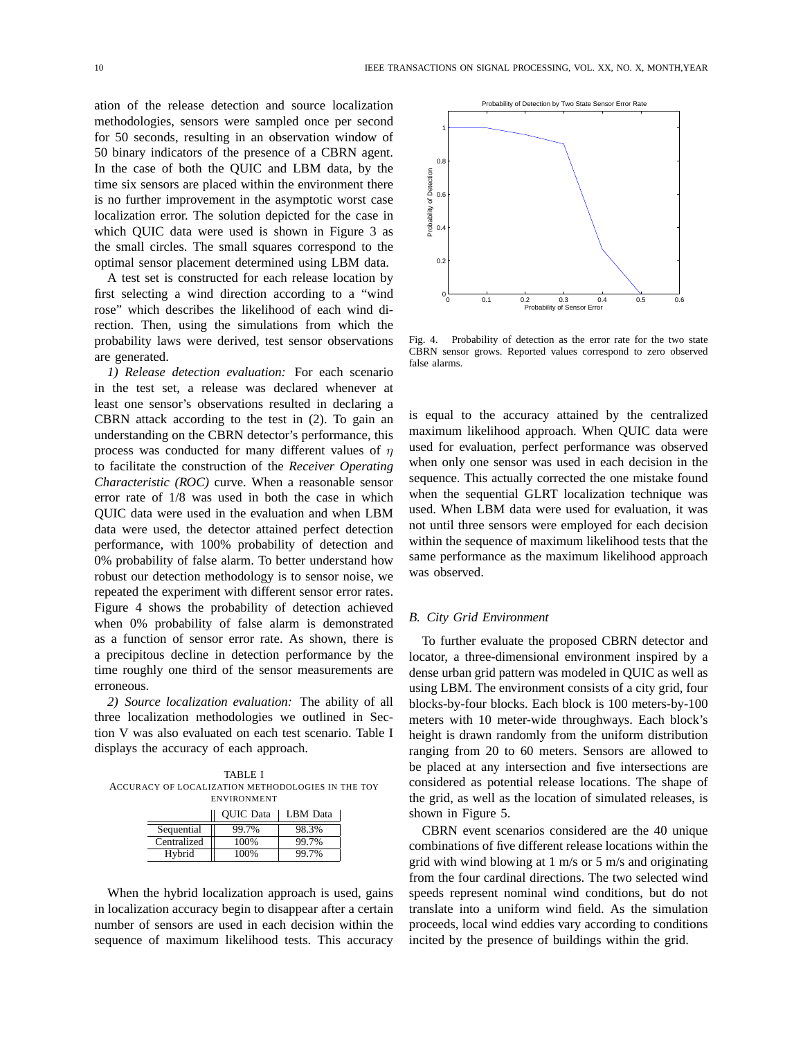ation of the release detection and source localization methodologies, sensors were sampled once per second for 50 seconds, resulting in an observation window of 50 binary indicators of the presence of a CBRN agent. In the case of both the QUIC and LBM data, by the time six sensors are placed within the environment there is no further improvement in the asymptotic worst case localization error. The solution depicted for the case in which QUIC data were used is shown in Figure 3 as the small circles. The small squares correspond to the optimal sensor placement determined using LBM data.

A test set is constructed for each release location by first selecting a wind direction according to a "wind rose" which describes the likelihood of each wind direction. Then, using the simulations from which the probability laws were derived, test sensor observations are generated.

*1) Release detection evaluation:* For each scenario in the test set, a release was declared whenever at least one sensor's observations resulted in declaring a CBRN attack according to the test in (2). To gain an understanding on the CBRN detector's performance, this process was conducted for many different values of  $\eta$ to facilitate the construction of the *Receiver Operating Characteristic (ROC)* curve. When a reasonable sensor error rate of 1/8 was used in both the case in which QUIC data were used in the evaluation and when LBM data were used, the detector attained perfect detection performance, with 100% probability of detection and 0% probability of false alarm. To better understand how robust our detection methodology is to sensor noise, we repeated the experiment with different sensor error rates. Figure 4 shows the probability of detection achieved when 0% probability of false alarm is demonstrated as a function of sensor error rate. As shown, there is a precipitous decline in detection performance by the time roughly one third of the sensor measurements are erroneous.

*2) Source localization evaluation:* The ability of all three localization methodologies we outlined in Section V was also evaluated on each test scenario. Table I displays the accuracy of each approach.

TABLE I ACCURACY OF LOCALIZATION METHODOLOGIES IN THE TOY ENVIRONMENT

|             | <b>OUIC</b> Data | LBM Data |
|-------------|------------------|----------|
| Sequential  | 99.7%            | 98.3%    |
| Centralized | 100%             | 99.7%    |
| Hybrid      | 100%             | 99.7%    |

When the hybrid localization approach is used, gains in localization accuracy begin to disappear after a certain number of sensors are used in each decision within the sequence of maximum likelihood tests. This accuracy



Fig. 4. Probability of detection as the error rate for the two state CBRN sensor grows. Reported values correspond to zero observed false alarms.

is equal to the accuracy attained by the centralized maximum likelihood approach. When QUIC data were used for evaluation, perfect performance was observed when only one sensor was used in each decision in the sequence. This actually corrected the one mistake found when the sequential GLRT localization technique was used. When LBM data were used for evaluation, it was not until three sensors were employed for each decision within the sequence of maximum likelihood tests that the same performance as the maximum likelihood approach was observed.

#### *B. City Grid Environment*

To further evaluate the proposed CBRN detector and locator, a three-dimensional environment inspired by a dense urban grid pattern was modeled in QUIC as well as using LBM. The environment consists of a city grid, four blocks-by-four blocks. Each block is 100 meters-by-100 meters with 10 meter-wide throughways. Each block's height is drawn randomly from the uniform distribution ranging from 20 to 60 meters. Sensors are allowed to be placed at any intersection and five intersections are considered as potential release locations. The shape of the grid, as well as the location of simulated releases, is shown in Figure 5.

CBRN event scenarios considered are the 40 unique combinations of five different release locations within the grid with wind blowing at 1 m/s or 5 m/s and originating from the four cardinal directions. The two selected wind speeds represent nominal wind conditions, but do not translate into a uniform wind field. As the simulation proceeds, local wind eddies vary according to conditions incited by the presence of buildings within the grid.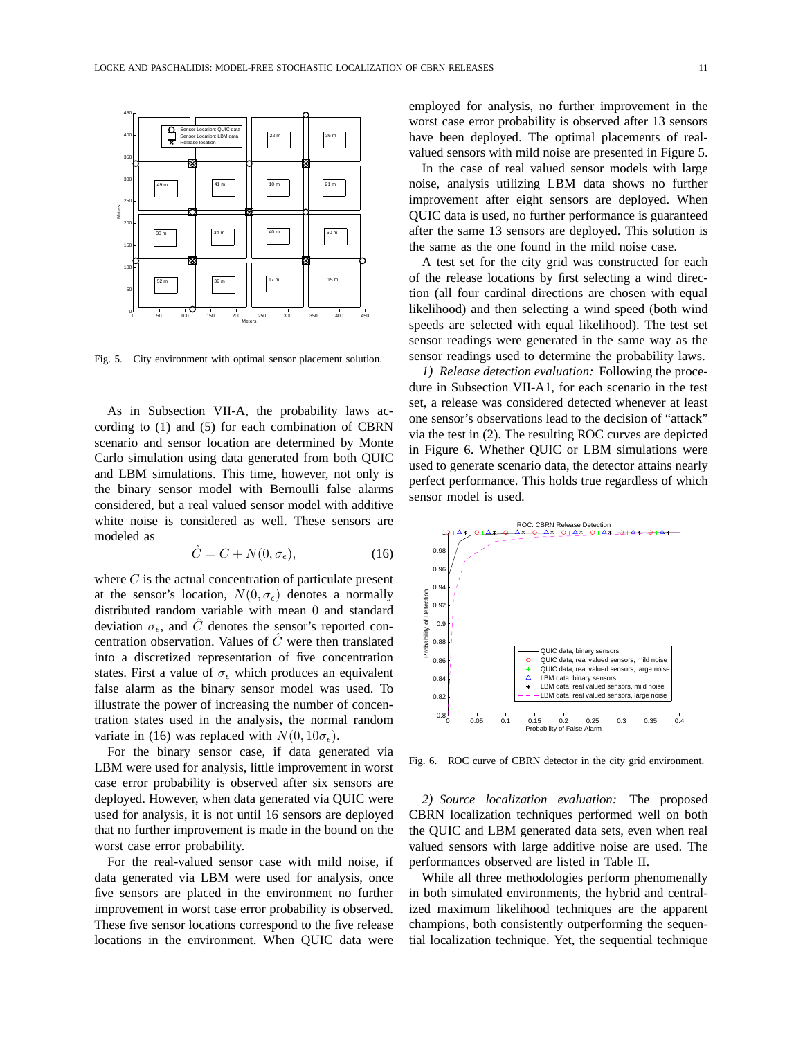

Fig. 5. City environment with optimal sensor placement solution.

As in Subsection VII-A, the probability laws according to (1) and (5) for each combination of CBRN scenario and sensor location are determined by Monte Carlo simulation using data generated from both QUIC and LBM simulations. This time, however, not only is the binary sensor model with Bernoulli false alarms considered, but a real valued sensor model with additive white noise is considered as well. These sensors are modeled as

$$
\hat{C} = C + N(0, \sigma_{\epsilon}),\tag{16}
$$

where  $C$  is the actual concentration of particulate present at the sensor's location,  $N(0, \sigma_{\epsilon})$  denotes a normally distributed random variable with mean 0 and standard deviation  $\sigma_{\epsilon}$ , and  $\hat{C}$  denotes the sensor's reported concentration observation. Values of  $\hat{C}$  were then translated into a discretized representation of five concentration states. First a value of  $\sigma_{\epsilon}$  which produces an equivalent false alarm as the binary sensor model was used. To illustrate the power of increasing the number of concentration states used in the analysis, the normal random variate in (16) was replaced with  $N(0, 10\sigma_{\epsilon})$ .

For the binary sensor case, if data generated via LBM were used for analysis, little improvement in worst case error probability is observed after six sensors are deployed. However, when data generated via QUIC were used for analysis, it is not until 16 sensors are deployed that no further improvement is made in the bound on the worst case error probability.

For the real-valued sensor case with mild noise, if data generated via LBM were used for analysis, once five sensors are placed in the environment no further improvement in worst case error probability is observed. These five sensor locations correspond to the five release locations in the environment. When QUIC data were employed for analysis, no further improvement in the worst case error probability is observed after 13 sensors have been deployed. The optimal placements of realvalued sensors with mild noise are presented in Figure 5.

In the case of real valued sensor models with large noise, analysis utilizing LBM data shows no further improvement after eight sensors are deployed. When QUIC data is used, no further performance is guaranteed after the same 13 sensors are deployed. This solution is the same as the one found in the mild noise case.

A test set for the city grid was constructed for each of the release locations by first selecting a wind direction (all four cardinal directions are chosen with equal likelihood) and then selecting a wind speed (both wind speeds are selected with equal likelihood). The test set sensor readings were generated in the same way as the sensor readings used to determine the probability laws.

*1) Release detection evaluation:* Following the procedure in Subsection VII-A1, for each scenario in the test set, a release was considered detected whenever at least one sensor's observations lead to the decision of "attack" via the test in (2). The resulting ROC curves are depicted in Figure 6. Whether QUIC or LBM simulations were used to generate scenario data, the detector attains nearly perfect performance. This holds true regardless of which sensor model is used.



Fig. 6. ROC curve of CBRN detector in the city grid environment.

*2) Source localization evaluation:* The proposed CBRN localization techniques performed well on both the QUIC and LBM generated data sets, even when real valued sensors with large additive noise are used. The performances observed are listed in Table II.

While all three methodologies perform phenomenally in both simulated environments, the hybrid and centralized maximum likelihood techniques are the apparent champions, both consistently outperforming the sequential localization technique. Yet, the sequential technique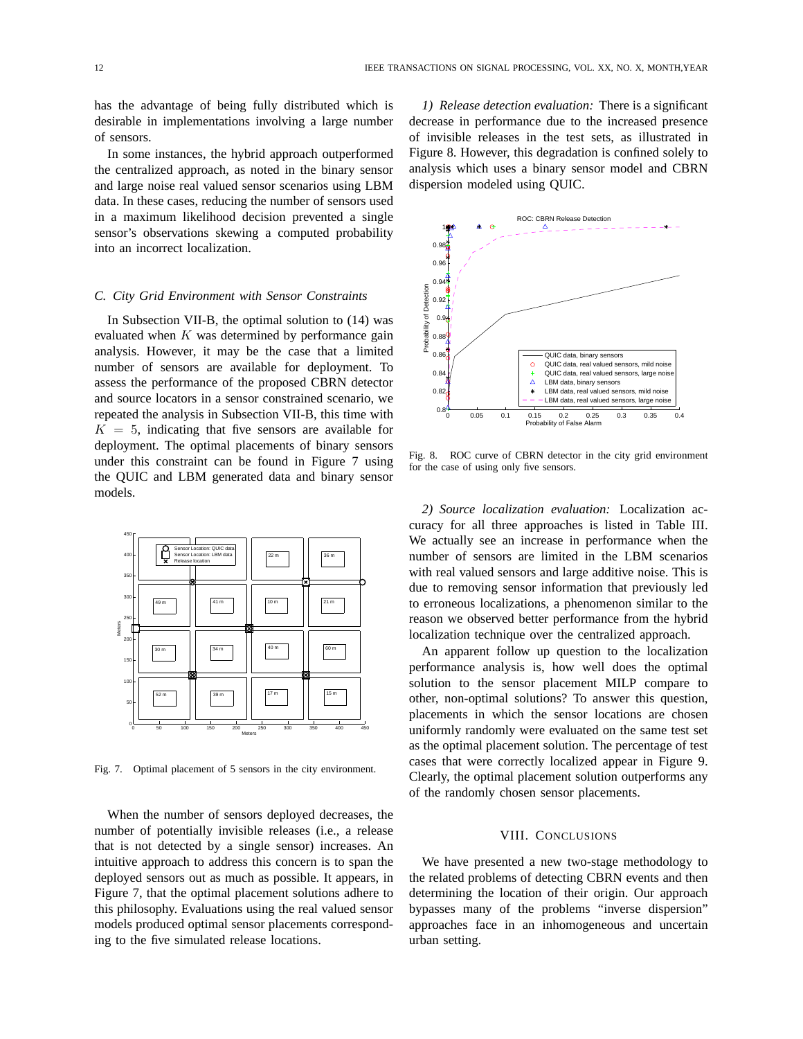has the advantage of being fully distributed which is desirable in implementations involving a large number of sensors.

In some instances, the hybrid approach outperformed the centralized approach, as noted in the binary sensor and large noise real valued sensor scenarios using LBM data. In these cases, reducing the number of sensors used in a maximum likelihood decision prevented a single sensor's observations skewing a computed probability into an incorrect localization.

# *C. City Grid Environment with Sensor Constraints*

In Subsection VII-B, the optimal solution to (14) was evaluated when  $K$  was determined by performance gain analysis. However, it may be the case that a limited number of sensors are available for deployment. To assess the performance of the proposed CBRN detector and source locators in a sensor constrained scenario, we repeated the analysis in Subsection VII-B, this time with  $K = 5$ , indicating that five sensors are available for deployment. The optimal placements of binary sensors under this constraint can be found in Figure 7 using the QUIC and LBM generated data and binary sensor models.



Fig. 7. Optimal placement of 5 sensors in the city environment.

When the number of sensors deployed decreases, the number of potentially invisible releases (i.e., a release that is not detected by a single sensor) increases. An intuitive approach to address this concern is to span the deployed sensors out as much as possible. It appears, in Figure 7, that the optimal placement solutions adhere to this philosophy. Evaluations using the real valued sensor models produced optimal sensor placements corresponding to the five simulated release locations.

*1) Release detection evaluation:* There is a significant decrease in performance due to the increased presence of invisible releases in the test sets, as illustrated in Figure 8. However, this degradation is confined solely to analysis which uses a binary sensor model and CBRN dispersion modeled using QUIC.



Fig. 8. ROC curve of CBRN detector in the city grid environment for the case of using only five sensors.

*2) Source localization evaluation:* Localization accuracy for all three approaches is listed in Table III. We actually see an increase in performance when the number of sensors are limited in the LBM scenarios with real valued sensors and large additive noise. This is due to removing sensor information that previously led to erroneous localizations, a phenomenon similar to the reason we observed better performance from the hybrid localization technique over the centralized approach.

An apparent follow up question to the localization performance analysis is, how well does the optimal solution to the sensor placement MILP compare to other, non-optimal solutions? To answer this question, placements in which the sensor locations are chosen uniformly randomly were evaluated on the same test set as the optimal placement solution. The percentage of test cases that were correctly localized appear in Figure 9. Clearly, the optimal placement solution outperforms any of the randomly chosen sensor placements.

# VIII. CONCLUSIONS

We have presented a new two-stage methodology to the related problems of detecting CBRN events and then determining the location of their origin. Our approach bypasses many of the problems "inverse dispersion" approaches face in an inhomogeneous and uncertain urban setting.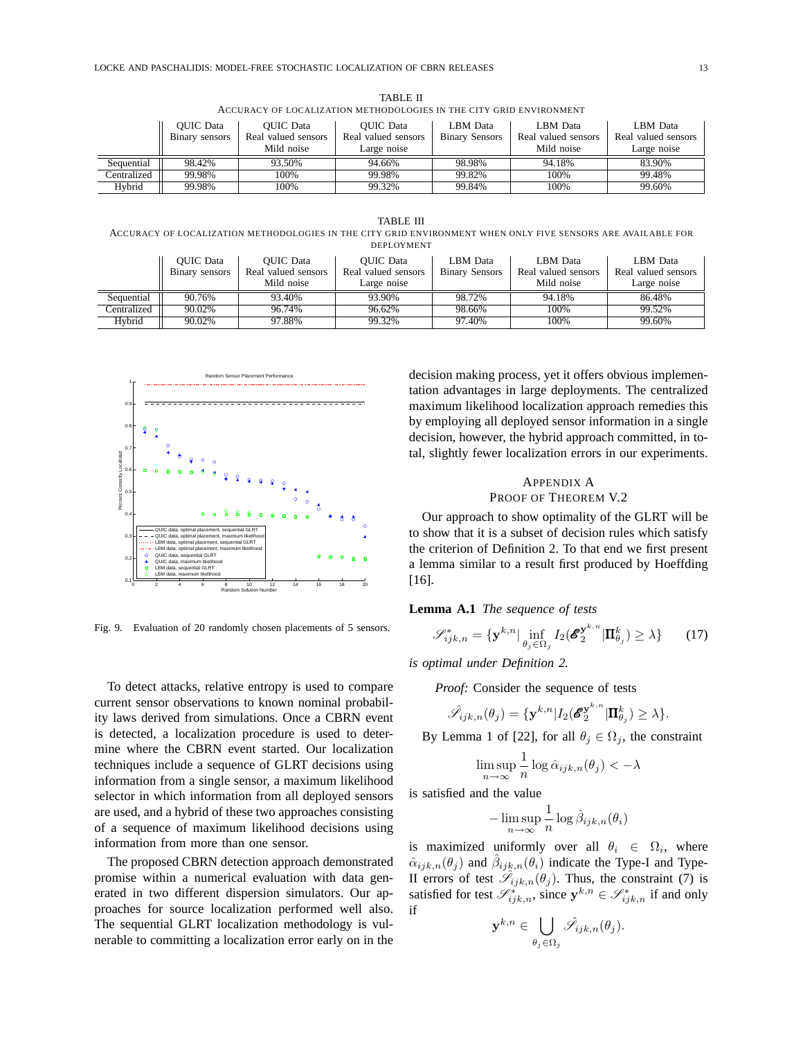|             | <b>OUIC</b> Data | <b>OUIC</b> Data    | <b>OUIC</b> Data    | LBM Data              | LBM Data            | LBM Data            |  |  |
|-------------|------------------|---------------------|---------------------|-----------------------|---------------------|---------------------|--|--|
|             | Binary sensors   | Real valued sensors | Real valued sensors | <b>Binary Sensors</b> | Real valued sensors | Real valued sensors |  |  |
|             |                  | Mild noise          | Large noise         |                       | Mild noise          | Large noise         |  |  |
| Sequential  | 98.42%           | 93.50%              | 94.66%              | 98.98%                | 94.18%              | 83.90%              |  |  |
| Centralized | 99.98%           | 100%                | 99.98%              | 99.82%                | 100%                | 99.48%              |  |  |
| Hvbrid      | 99.98%           | 100%                | 99.32%              | 99.84%                | 100%                | 99.60%              |  |  |

TABLE II ACCURACY OF LOCALIZATION METHODOLOGIES IN THE CITY GRID ENVIRONMENT

TABLE III ACCURACY OF LOCALIZATION METHODOLOGIES IN THE CITY GRID ENVIRONMENT WHEN ONLY FIVE SENSORS ARE AVAILABLE FOR DEPLOYMENT

|             | <b>OUIC</b> Data | <b>OUIC</b> Data    | <b>OUIC</b> Data    | LBM Data              | LBM Data            | LBM Data            |
|-------------|------------------|---------------------|---------------------|-----------------------|---------------------|---------------------|
|             | Binary sensors   | Real valued sensors | Real valued sensors | <b>Binary Sensors</b> | Real valued sensors | Real valued sensors |
|             |                  | Mild noise          | Large noise         |                       | Mild noise          | Large noise         |
| Sequential  | 90.76%           | 93.40%              | 93.90%              | 98.72%                | 94.18%              | 86.48%              |
| Centralized | 90.02%           | 96.74%              | 96.62%              | 98.66%                | 100%                | 99.52%              |
| Hybrid      | 90.02%           | 97.88%              | 99.32%              | 97.40%                | 100%                | 99.60%              |



Fig. 9. Evaluation of 20 randomly chosen placements of 5 sensors.

To detect attacks, relative entropy is used to compare current sensor observations to known nominal probability laws derived from simulations. Once a CBRN event is detected, a localization procedure is used to determine where the CBRN event started. Our localization techniques include a sequence of GLRT decisions using information from a single sensor, a maximum likelihood selector in which information from all deployed sensors are used, and a hybrid of these two approaches consisting of a sequence of maximum likelihood decisions using information from more than one sensor.

The proposed CBRN detection approach demonstrated promise within a numerical evaluation with data generated in two different dispersion simulators. Our approaches for source localization performed well also. The sequential GLRT localization methodology is vulnerable to committing a localization error early on in the decision making process, yet it offers obvious implementation advantages in large deployments. The centralized maximum likelihood localization approach remedies this by employing all deployed sensor information in a single decision, however, the hybrid approach committed, in total, slightly fewer localization errors in our experiments.

# APPENDIX A

PROOF OF THEOREM V.2

Our approach to show optimality of the GLRT will be to show that it is a subset of decision rules which satisfy the criterion of Definition 2. To that end we first present a lemma similar to a result first produced by Hoeffding [16].

**Lemma A.1** *The sequence of tests*

$$
\mathscr{S}_{ijk,n}^* = \{ \mathbf{y}^{k,n} \mid \inf_{\theta_j \in \Omega_j} I_2(\boldsymbol{\mathscr{E}}_2^{\mathbf{y}^{k,n}} | \Pi_{\theta_j}^k) \ge \lambda \} \qquad (17)
$$

*is optimal under Definition 2.*

*Proof:* Consider the sequence of tests

$$
\hat{\mathscr{S}}_{ijk,n}(\theta_j) = \{ \mathbf{y}^{k,n} | I_2({\boldsymbol{\mathscr{E}}}^{\mathbf{y}^{k,n}}_2 | {\boldsymbol{\Pi}}^k_{\theta_j}) \geq \lambda \}.
$$

By Lemma 1 of [22], for all  $\theta_j \in \Omega_j$ , the constraint

$$
\limsup_{n \to \infty} \frac{1}{n} \log \hat{\alpha}_{ijk,n}(\theta_j) < -\lambda
$$

is satisfied and the value

$$
-\limsup_{n\to\infty}\frac{1}{n}\log\hat{\beta}_{ijk,n}(\theta_i)
$$

is maximized uniformly over all  $\theta_i \in \Omega_i$ , where  $\hat{\alpha}_{ijk,n}(\theta_j)$  and  $\hat{\beta}_{ijk,n}(\theta_i)$  indicate the Type-I and Type-II errors of test  $\hat{\mathscr{S}}_{ijk,n}(\theta_j)$ . Thus, the constraint (7) is satisfied for test  $\mathscr{S}_{ijk,n}^*$ , since  $\mathbf{y}^{k,n} \in \mathscr{S}_{ijk,n}^*$  if and only if

$$
\mathbf{y}^{k,n} \in \bigcup_{\theta_j \in \Omega_j} \hat{\mathscr{S}}_{ijk,n}(\theta_j).
$$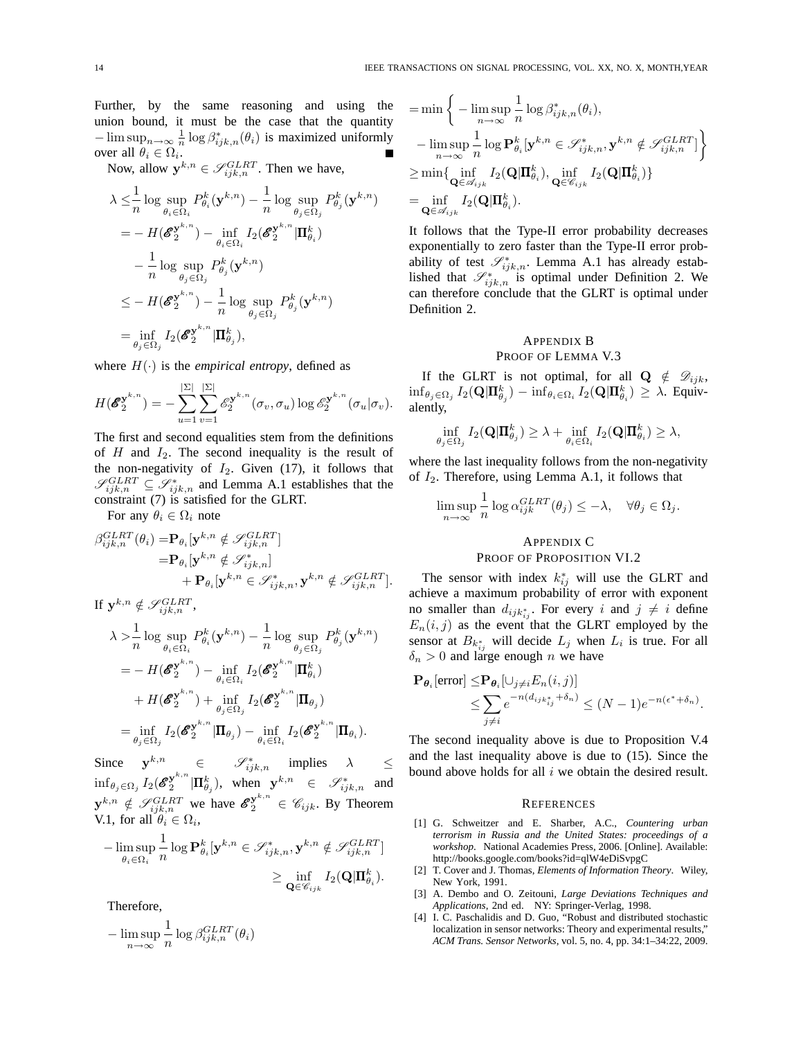Further, by the same reasoning and using the union bound, it must be the case that the quantity  $-\limsup_{n\to\infty}\frac{1}{n}\log\beta^*_{ijk,n}(\theta_i)$  is maximized uniformly over all  $\theta_i \in \Omega_i$ .

Now, allow  $y^{k,n} \in \mathscr{S}_{ijk,n}^{GLRT}$ . Then we have,

$$
\lambda \leq \frac{1}{n} \log \sup_{\theta_i \in \Omega_i} P_{\theta_i}^k(\mathbf{y}^{k,n}) - \frac{1}{n} \log \sup_{\theta_j \in \Omega_j} P_{\theta_j}^k(\mathbf{y}^{k,n})
$$
  
\n
$$
= -H(\boldsymbol{\mathscr{E}}_2^{\mathbf{y}^{k,n}}) - \inf_{\theta_i \in \Omega_i} I_2(\boldsymbol{\mathscr{E}}_2^{\mathbf{y}^{k,n}} | \mathbf{\Pi}_{\theta_i}^k)
$$
  
\n
$$
- \frac{1}{n} \log \sup_{\theta_j \in \Omega_j} P_{\theta_j}^k(\mathbf{y}^{k,n})
$$
  
\n
$$
\leq -H(\boldsymbol{\mathscr{E}}_2^{\mathbf{y}^{k,n}}) - \frac{1}{n} \log \sup_{\theta_j \in \Omega_j} P_{\theta_j}^k(\mathbf{y}^{k,n})
$$
  
\n
$$
= \inf_{\theta_j \in \Omega_j} I_2(\boldsymbol{\mathscr{E}}_2^{\mathbf{y}^{k,n}} | \mathbf{\Pi}_{\theta_j}^k),
$$

where  $H(\cdot)$  is the *empirical entropy*, defined as

$$
H(\boldsymbol{\mathscr{E}}_2^{\mathbf{y}^{k,n}}) = -\sum_{u=1}^{|\Sigma|} \sum_{v=1}^{|\Sigma|} \mathscr{E}_2^{\mathbf{y}^{k,n}}(\sigma_v, \sigma_u) \log \mathscr{E}_2^{\mathbf{y}^{k,n}}(\sigma_u | \sigma_v).
$$

The first and second equalities stem from the definitions of  $H$  and  $I_2$ . The second inequality is the result of the non-negativity of  $I_2$ . Given (17), it follows that  $\mathscr{S}_{ijk,n}^{GLRT} \subseteq \mathscr{S}_{ijk,n}^{*}$  and Lemma A.1 establishes that the constraint (7) is satisfied for the GLRT.

For any  $\theta_i \in \Omega_i$  note

$$
\beta_{ijk,n}^{GLRT}(\theta_i) = \mathbf{P}_{\theta_i}[\mathbf{y}^{k,n} \notin \mathcal{S}_{ijk,n}^{GLRT}]
$$
  
\n
$$
= \mathbf{P}_{\theta_i}[\mathbf{y}^{k,n} \notin \mathcal{S}_{ijk,n}^*]
$$
  
\n
$$
+ \mathbf{P}_{\theta_i}[\mathbf{y}^{k,n} \in \mathcal{S}_{ijk,n}^*, \mathbf{y}^{k,n} \notin \mathcal{S}_{ijk,n}^{GLRT}].
$$

If  $\mathbf{y}^{k,n} \notin \mathscr{S}^{GLRT}_{ijk,n}$ ,

$$
\lambda > \frac{1}{n} \log \sup_{\theta_i \in \Omega_i} P_{\theta_i}^k(\mathbf{y}^{k,n}) - \frac{1}{n} \log \sup_{\theta_j \in \Omega_j} P_{\theta_j}^k(\mathbf{y}^{k,n})
$$
  
=  $-H(\mathcal{E}_{2}^{\mathbf{y}^{k,n}}) - \inf_{\theta_i \in \Omega_i} I_2(\mathcal{E}_{2}^{\mathbf{y}^{k,n}} | \mathbf{\Pi}_{\theta_i}^k)$   
+  $H(\mathcal{E}_{2}^{\mathbf{y}^{k,n}}) + \inf_{\theta_j \in \Omega_j} I_2(\mathcal{E}_{2}^{\mathbf{y}^{k,n}} | \mathbf{\Pi}_{\theta_j})$   
=  $\inf_{\theta_j \in \Omega_j} I_2(\mathcal{E}_{2}^{\mathbf{y}^{k,n}} | \mathbf{\Pi}_{\theta_j}) - \inf_{\theta_i \in \Omega_i} I_2(\mathcal{E}_{2}^{\mathbf{y}^{k,n}} | \mathbf{\Pi}_{\theta_i}).$ 

Since  $y^{k,n}$   $\in$   $\mathscr{S}_{ijk,n}^*$  implies  $\lambda$   $\leq$  $\inf_{\theta_j \in \Omega_j} I_2(\boldsymbol{\mathscr{E}}_{2}^{\mathbf{y}^{k,n}})$  $\mathbf{y}^{k,n} | \mathbf{\Pi}_{\theta_j}^k$ ), when  $\mathbf{y}^{k,n} \in \mathscr{S}_{ijk,n}^*$  and  $\mathbf{y}^{k,n} \notin \mathscr{S}_{ijk,n}^{GLRT}$  we have  $\mathscr{E}_2^{\mathbf{y}^{k,n}} \in \mathscr{C}_{ijk}$ . By Theorem V.1, for all  $\theta_i \in \Omega_i$ ,

$$
-\limsup_{\theta_i \in \Omega_i} \frac{1}{n} \log \mathbf{P}_{\theta_i}^k[\mathbf{y}^{k,n} \in \mathscr{S}_{ijk,n}^*, \mathbf{y}^{k,n} \notin \mathscr{S}_{ijk,n}^{GLRT}]
$$
  

$$
\geq \inf_{\mathbf{Q} \in \mathscr{C}_{ijk}} I_2(\mathbf{Q} | \mathbf{\Pi}_{\theta_i}^k).
$$

Therefore,

$$
-\limsup_{n\to\infty}\frac{1}{n}\log\beta_{ijk,n}^{GLRT}(\theta_i)
$$

$$
= \min \left\{ -\limsup_{n \to \infty} \frac{1}{n} \log \beta_{ijk,n}^*(\theta_i), -\limsup_{n \to \infty} \frac{1}{n} \log \mathbf{P}_{\theta_i}^k[\mathbf{y}^{k,n} \in \mathscr{S}_{ijk,n}^*, \mathbf{y}^{k,n} \notin \mathscr{S}_{ijk,n}^{GLRT}] \right\}
$$
  
\n
$$
\geq \min \{ \inf_{\mathbf{Q} \in \mathscr{A}_{ijk}} I_2(\mathbf{Q} | \mathbf{\Pi}_{\theta_i}^k), \inf_{\mathbf{Q} \in \mathscr{C}_{ijk}} I_2(\mathbf{Q} | \mathbf{\Pi}_{\theta_i}^k) \}
$$
  
\n
$$
= \inf_{\mathbf{Q} \in \mathscr{A}_{ijk}} I_2(\mathbf{Q} | \mathbf{\Pi}_{\theta_i}^k).
$$

It follows that the Type-II error probability decreases exponentially to zero faster than the Type-II error probability of test  $\mathscr{S}_{ijk,n}^*$ . Lemma A.1 has already established that  $\mathscr{S}_{ijk,n}^*$  is optimal under Definition 2. We can therefore conclude that the GLRT is optimal under Definition 2.

# APPENDIX B

# PROOF OF LEMMA V.3

If the GLRT is not optimal, for all  $\mathbf{Q} \notin \mathscr{D}_{ijk}$ ,  $\inf_{\theta_j \in \Omega_j} I_2(\mathbf{Q} | \mathbf{\Pi}^k_{\theta_j}) - \inf_{\theta_i \in \Omega_i} I_2(\mathbf{Q} | \mathbf{\Pi}^k_{\theta_i}) \, \geq \, \lambda.$  Equivalently,

$$
\inf_{\theta_j \in \Omega_j} I_2(\mathbf{Q} | \mathbf{\Pi}_{\theta_j}^k) \ge \lambda + \inf_{\theta_i \in \Omega_i} I_2(\mathbf{Q} | \mathbf{\Pi}_{\theta_i}^k) \ge \lambda,
$$

where the last inequality follows from the non-negativity of  $I_2$ . Therefore, using Lemma A.1, it follows that

$$
\limsup_{n \to \infty} \frac{1}{n} \log \alpha_{ijk}^{GLRT}(\theta_j) \leq -\lambda, \quad \forall \theta_j \in \Omega_j.
$$

# APPENDIX C PROOF OF PROPOSITION VI.2

The sensor with index  $k_{ij}^*$  will use the GLRT and achieve a maximum probability of error with exponent no smaller than  $d_{ijk_{ij}^*}$ . For every i and  $j \neq i$  define  $E_n(i,j)$  as the event that the GLRT employed by the sensor at  $B_{k_{ij}^*}$  will decide  $L_j$  when  $L_i$  is true. For all  $\delta_n > 0$  and large enough n we have

$$
\mathbf{P}_{\theta_i}[\text{error}] \leq \mathbf{P}_{\theta_i}[\cup_{j \neq i} E_n(i,j)]
$$
  
\$\leq \sum\_{j \neq i} e^{-n(d\_{ijk}^\*\_{ij} + \delta\_n)} \leq (N-1)e^{-n(\epsilon^\* + \delta\_n)}\$.

The second inequality above is due to Proposition V.4 and the last inequality above is due to (15). Since the bound above holds for all  $i$  we obtain the desired result.

#### **REFERENCES**

- [1] G. Schweitzer and E. Sharber, A.C., *Countering urban terrorism in Russia and the United States: proceedings of a workshop*. National Academies Press, 2006. [Online]. Available: http://books.google.com/books?id=qlW4eDiSvpgC
- [2] T. Cover and J. Thomas, *Elements of Information Theory*. Wiley, New York, 1991.
- [3] A. Dembo and O. Zeitouni, *Large Deviations Techniques and Applications*, 2nd ed. NY: Springer-Verlag, 1998.
- [4] I. C. Paschalidis and D. Guo, "Robust and distributed stochastic localization in sensor networks: Theory and experimental results,' *ACM Trans. Sensor Networks*, vol. 5, no. 4, pp. 34:1–34:22, 2009.